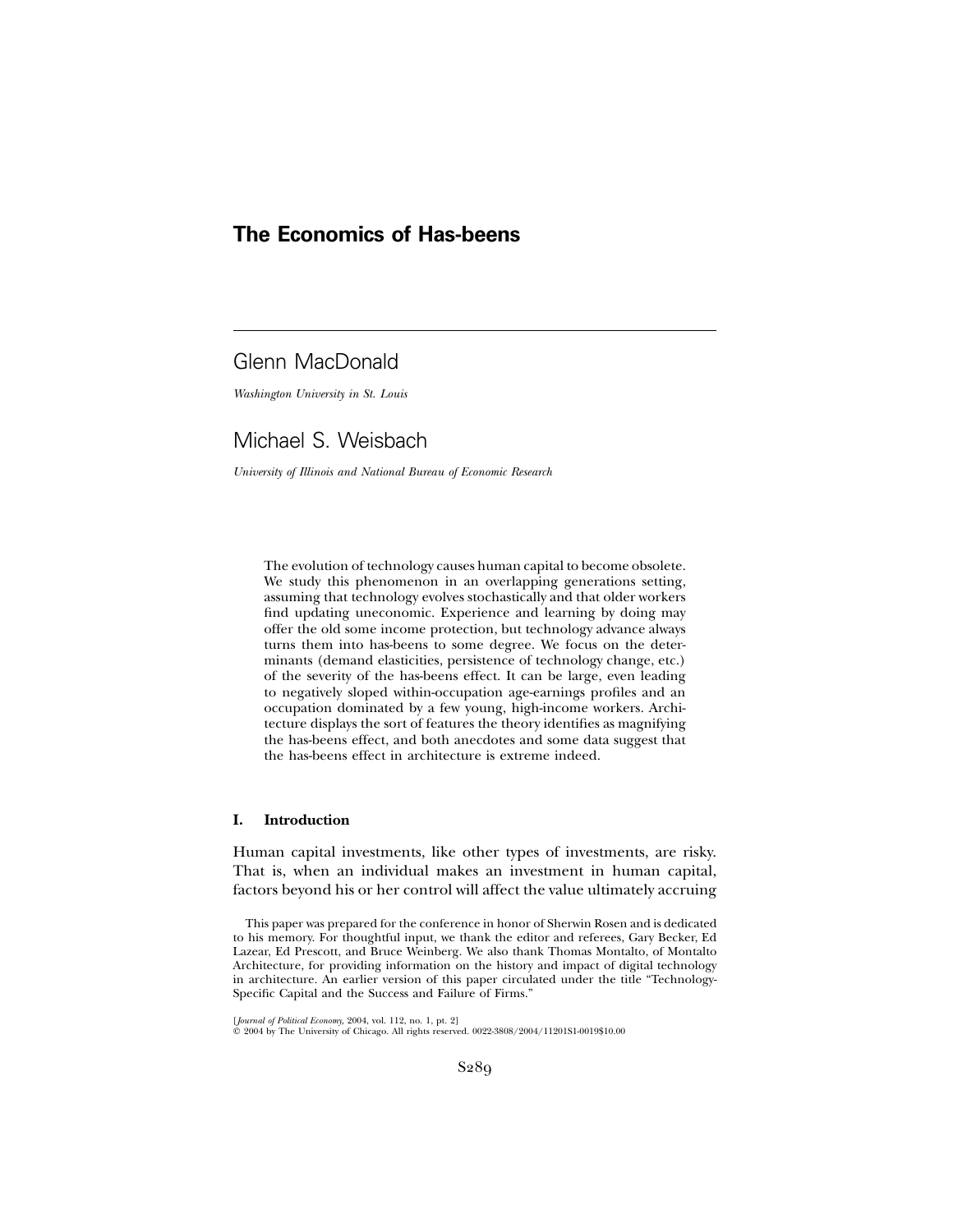# **The Economics of Has-beens**

# Glenn MacDonald

*Washington University in St. Louis*

# Michael S. Weisbach

*University of Illinois and National Bureau of Economic Research*

The evolution of technology causes human capital to become obsolete. We study this phenomenon in an overlapping generations setting, assuming that technology evolves stochastically and that older workers find updating uneconomic. Experience and learning by doing may offer the old some income protection, but technology advance always turns them into has-beens to some degree. We focus on the determinants (demand elasticities, persistence of technology change, etc.) of the severity of the has-beens effect. It can be large, even leading to negatively sloped within-occupation age-earnings profiles and an occupation dominated by a few young, high-income workers. Architecture displays the sort of features the theory identifies as magnifying the has-beens effect, and both anecdotes and some data suggest that the has-beens effect in architecture is extreme indeed.

# **I. Introduction**

Human capital investments, like other types of investments, are risky. That is, when an individual makes an investment in human capital, factors beyond his or her control will affect the value ultimately accruing

This paper was prepared for the conference in honor of Sherwin Rosen and is dedicated to his memory. For thoughtful input, we thank the editor and referees, Gary Becker, Ed Lazear, Ed Prescott, and Bruce Weinberg. We also thank Thomas Montalto, of Montalto Architecture, for providing information on the history and impact of digital technology in architecture. An earlier version of this paper circulated under the title "Technology-Specific Capital and the Success and Failure of Firms."

<sup>[</sup>*Journal of Political Econom*y, 2004, vol. 112, no. 1, pt. 2]<br>© 2004 by The University of Chicago. All rights reserved. 0022-3808/2004/11201S1-0019\$10.00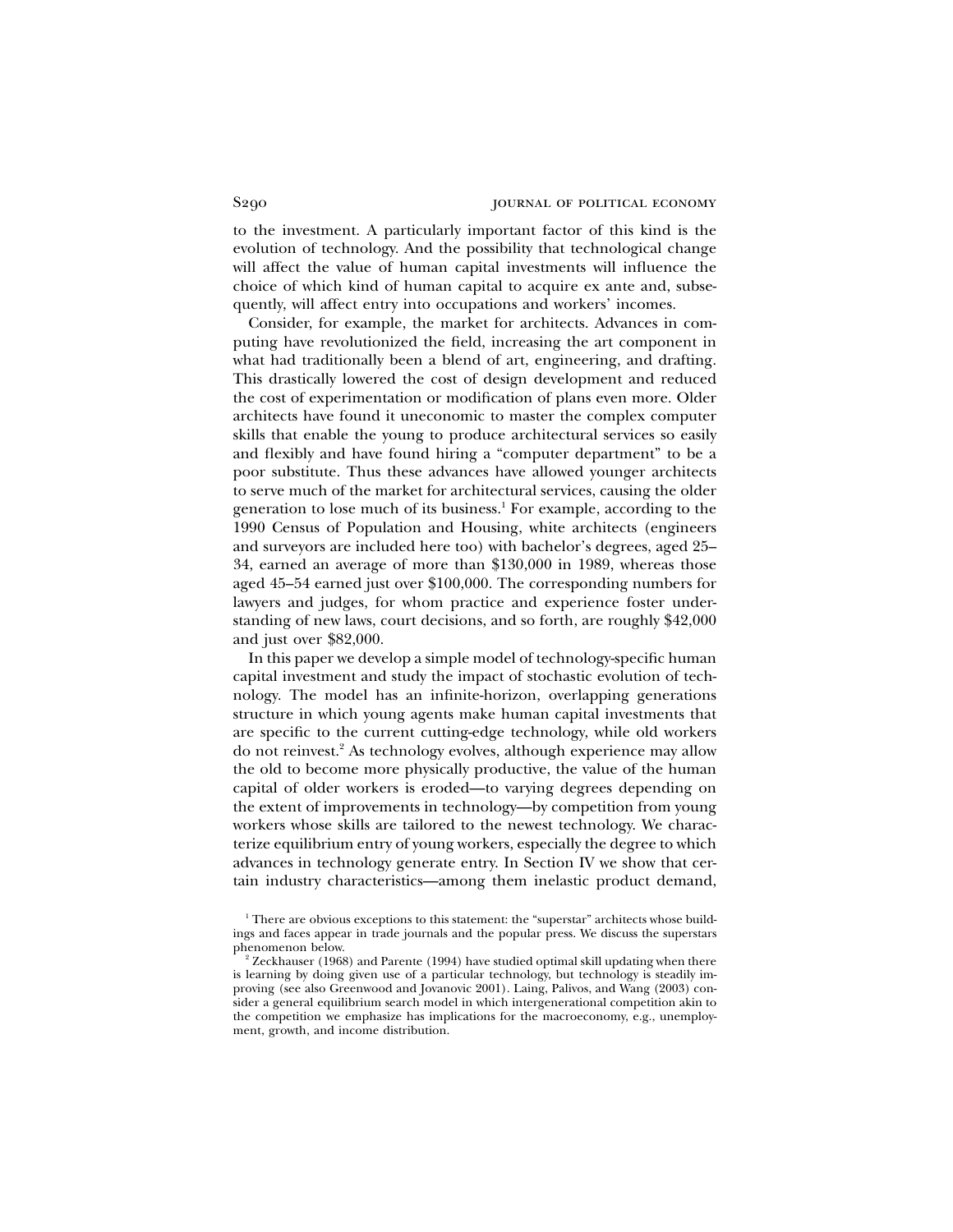to the investment. A particularly important factor of this kind is the evolution of technology. And the possibility that technological change will affect the value of human capital investments will influence the choice of which kind of human capital to acquire ex ante and, subsequently, will affect entry into occupations and workers' incomes.

Consider, for example, the market for architects. Advances in computing have revolutionized the field, increasing the art component in what had traditionally been a blend of art, engineering, and drafting. This drastically lowered the cost of design development and reduced the cost of experimentation or modification of plans even more. Older architects have found it uneconomic to master the complex computer skills that enable the young to produce architectural services so easily and flexibly and have found hiring a "computer department" to be a poor substitute. Thus these advances have allowed younger architects to serve much of the market for architectural services, causing the older generation to lose much of its business.<sup>1</sup> For example, according to the 1990 Census of Population and Housing, white architects (engineers and surveyors are included here too) with bachelor's degrees, aged 25– 34, earned an average of more than \$130,000 in 1989, whereas those aged 45–54 earned just over \$100,000. The corresponding numbers for lawyers and judges, for whom practice and experience foster understanding of new laws, court decisions, and so forth, are roughly \$42,000 and just over \$82,000.

In this paper we develop a simple model of technology-specific human capital investment and study the impact of stochastic evolution of technology. The model has an infinite-horizon, overlapping generations structure in which young agents make human capital investments that are specific to the current cutting-edge technology, while old workers do not reinvest.<sup>2</sup> As technology evolves, although experience may allow the old to become more physically productive, the value of the human capital of older workers is eroded—to varying degrees depending on the extent of improvements in technology—by competition from young workers whose skills are tailored to the newest technology. We characterize equilibrium entry of young workers, especially the degree to which advances in technology generate entry. In Section IV we show that certain industry characteristics—among them inelastic product demand,

<sup>1</sup> There are obvious exceptions to this statement: the "superstar" architects whose buildings and faces appear in trade journals and the popular press. We discuss the superstars phenomenon below.

<sup>2</sup> Zeckhauser (1968) and Parente (1994) have studied optimal skill updating when there is learning by doing given use of a particular technology, but technology is steadily improving (see also Greenwood and Jovanovic 2001). Laing, Palivos, and Wang (2003) consider a general equilibrium search model in which intergenerational competition akin to the competition we emphasize has implications for the macroeconomy, e.g., unemployment, growth, and income distribution.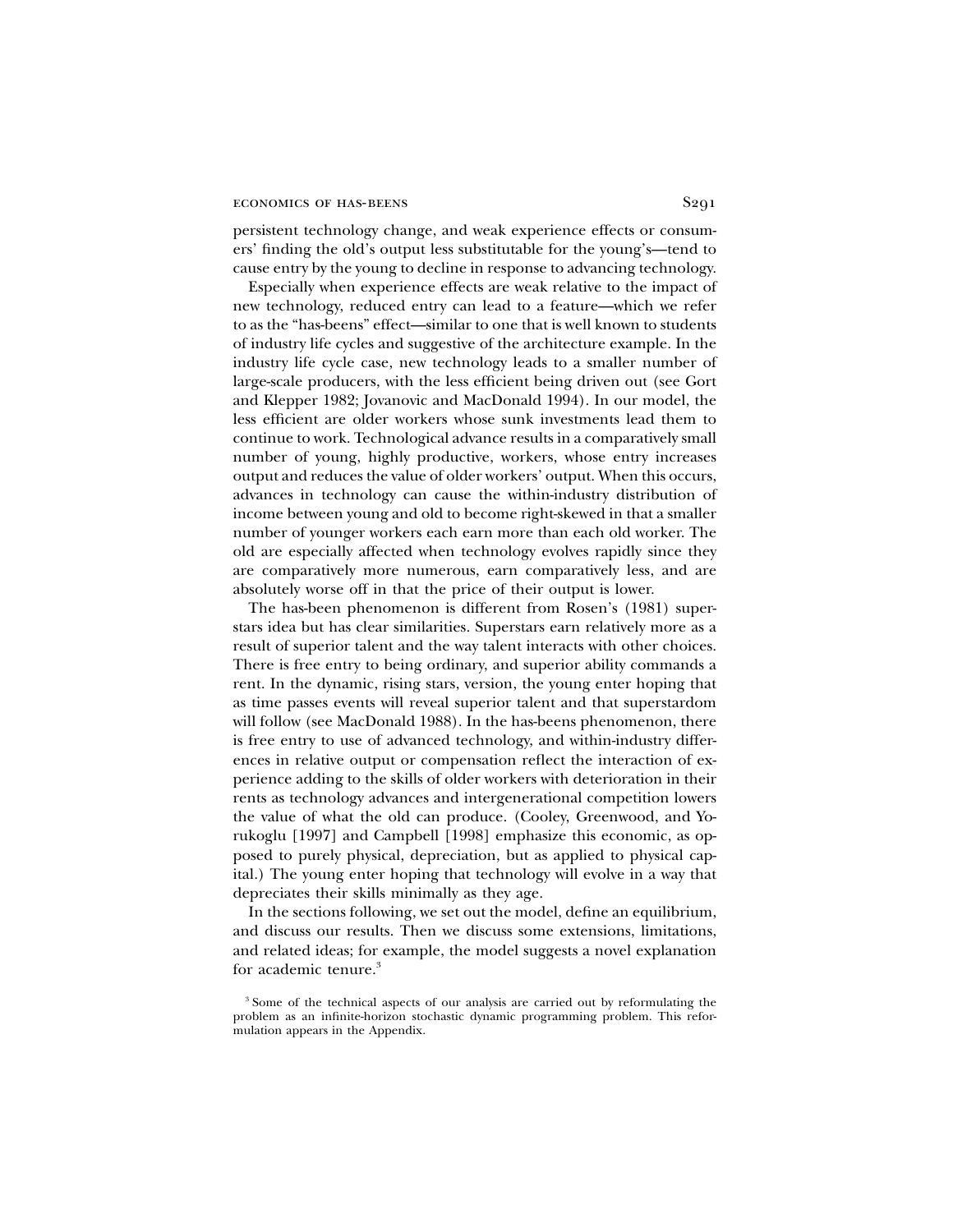# ECONOMICS OF HAS-BEENS S291

persistent technology change, and weak experience effects or consumers' finding the old's output less substitutable for the young's—tend to cause entry by the young to decline in response to advancing technology.

Especially when experience effects are weak relative to the impact of new technology, reduced entry can lead to a feature—which we refer to as the "has-beens" effect—similar to one that is well known to students of industry life cycles and suggestive of the architecture example. In the industry life cycle case, new technology leads to a smaller number of large-scale producers, with the less efficient being driven out (see Gort and Klepper 1982; Jovanovic and MacDonald 1994). In our model, the less efficient are older workers whose sunk investments lead them to continue to work. Technological advance results in a comparatively small number of young, highly productive, workers, whose entry increases output and reduces the value of older workers' output. When this occurs, advances in technology can cause the within-industry distribution of income between young and old to become right-skewed in that a smaller number of younger workers each earn more than each old worker. The old are especially affected when technology evolves rapidly since they are comparatively more numerous, earn comparatively less, and are absolutely worse off in that the price of their output is lower.

The has-been phenomenon is different from Rosen's (1981) superstars idea but has clear similarities. Superstars earn relatively more as a result of superior talent and the way talent interacts with other choices. There is free entry to being ordinary, and superior ability commands a rent. In the dynamic, rising stars, version, the young enter hoping that as time passes events will reveal superior talent and that superstardom will follow (see MacDonald 1988). In the has-beens phenomenon, there is free entry to use of advanced technology, and within-industry differences in relative output or compensation reflect the interaction of experience adding to the skills of older workers with deterioration in their rents as technology advances and intergenerational competition lowers the value of what the old can produce. (Cooley, Greenwood, and Yorukoglu [1997] and Campbell [1998] emphasize this economic, as opposed to purely physical, depreciation, but as applied to physical capital.) The young enter hoping that technology will evolve in a way that depreciates their skills minimally as they age.

In the sections following, we set out the model, define an equilibrium, and discuss our results. Then we discuss some extensions, limitations, and related ideas; for example, the model suggests a novel explanation for academic tenure.<sup>3</sup>

<sup>&</sup>lt;sup>3</sup> Some of the technical aspects of our analysis are carried out by reformulating the problem as an infinite-horizon stochastic dynamic programming problem. This reformulation appears in the Appendix.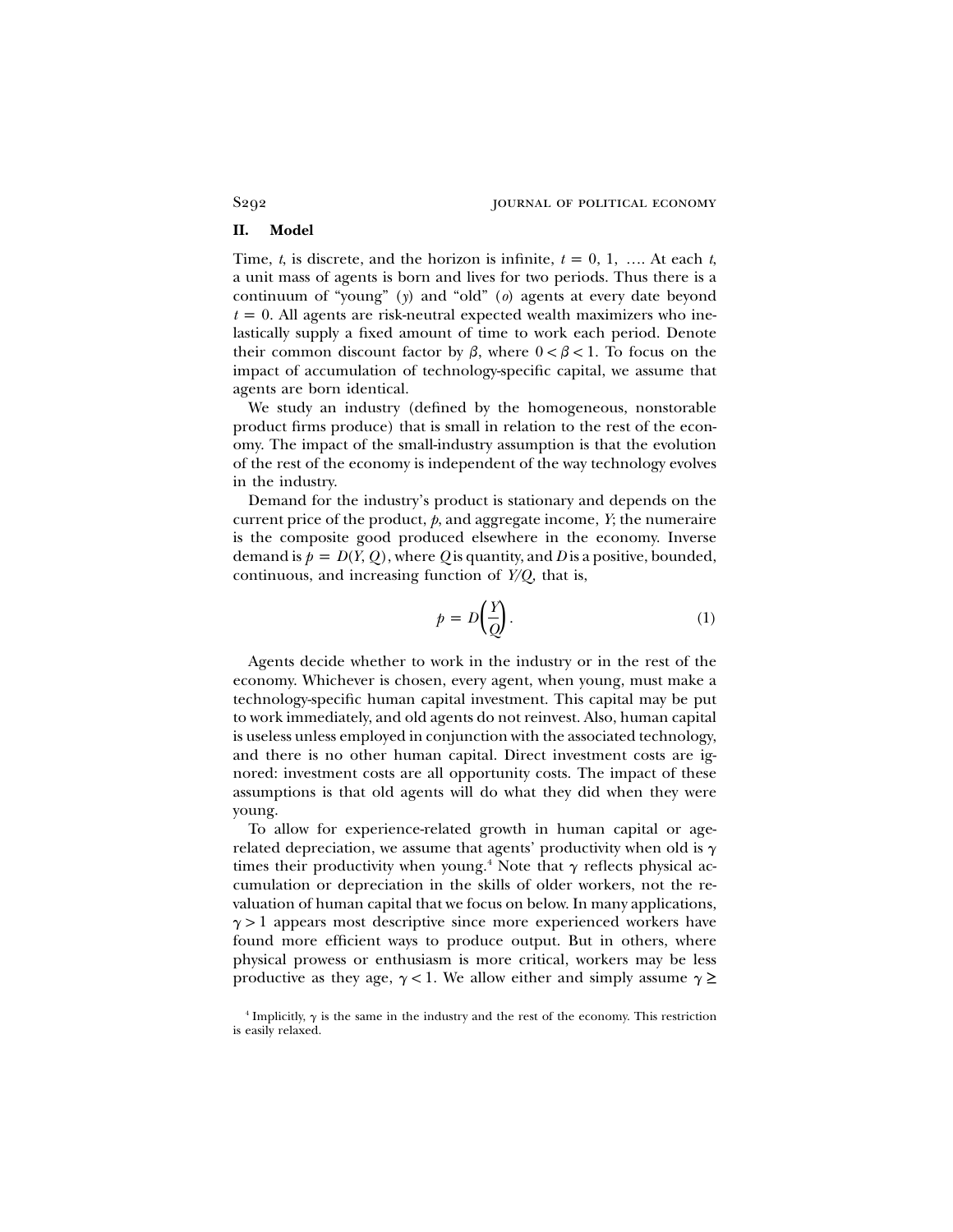# **II. Model**

Time, *t*, is discrete, and the horizon is infinite,  $t = 0, 1, \ldots$  At each *t*, a unit mass of agents is born and lives for two periods. Thus there is a continuum of "young" (*y*) and "old" (*o*) agents at every date beyond  $t = 0$ . All agents are risk-neutral expected wealth maximizers who inelastically supply a fixed amount of time to work each period. Denote their common discount factor by  $\beta$ , where  $0 < \beta < 1$ . To focus on the impact of accumulation of technology-specific capital, we assume that agents are born identical.

We study an industry (defined by the homogeneous, nonstorable product firms produce) that is small in relation to the rest of the economy. The impact of the small-industry assumption is that the evolution of the rest of the economy is independent of the way technology evolves in the industry.

Demand for the industry's product is stationary and depends on the current price of the product, *p*, and aggregate income, *Y*; the numeraire is the composite good produced elsewhere in the economy. Inverse demand is  $p = D(Y, Q)$ , where Q is quantity, and D is a positive, bounded, continuous, and increasing function of *Y*/*Q,* that is,

$$
p = D\left(\frac{Y}{Q}\right). \tag{1}
$$

Agents decide whether to work in the industry or in the rest of the economy. Whichever is chosen, every agent, when young, must make a technology-specific human capital investment. This capital may be put to work immediately, and old agents do not reinvest. Also, human capital is useless unless employed in conjunction with the associated technology, and there is no other human capital. Direct investment costs are ignored: investment costs are all opportunity costs. The impact of these assumptions is that old agents will do what they did when they were young.

To allow for experience-related growth in human capital or agerelated depreciation, we assume that agents' productivity when old is  $\gamma$ times their productivity when young.<sup>4</sup> Note that  $\gamma$  reflects physical accumulation or depreciation in the skills of older workers, not the revaluation of human capital that we focus on below. In many applications,  $\gamma$  > 1 appears most descriptive since more experienced workers have found more efficient ways to produce output. But in others, where physical prowess or enthusiasm is more critical, workers may be less productive as they age,  $\gamma$  < 1. We allow either and simply assume  $\gamma \geq$ 

<sup>&</sup>lt;sup>4</sup> Implicitly,  $\gamma$  is the same in the industry and the rest of the economy. This restriction is easily relaxed.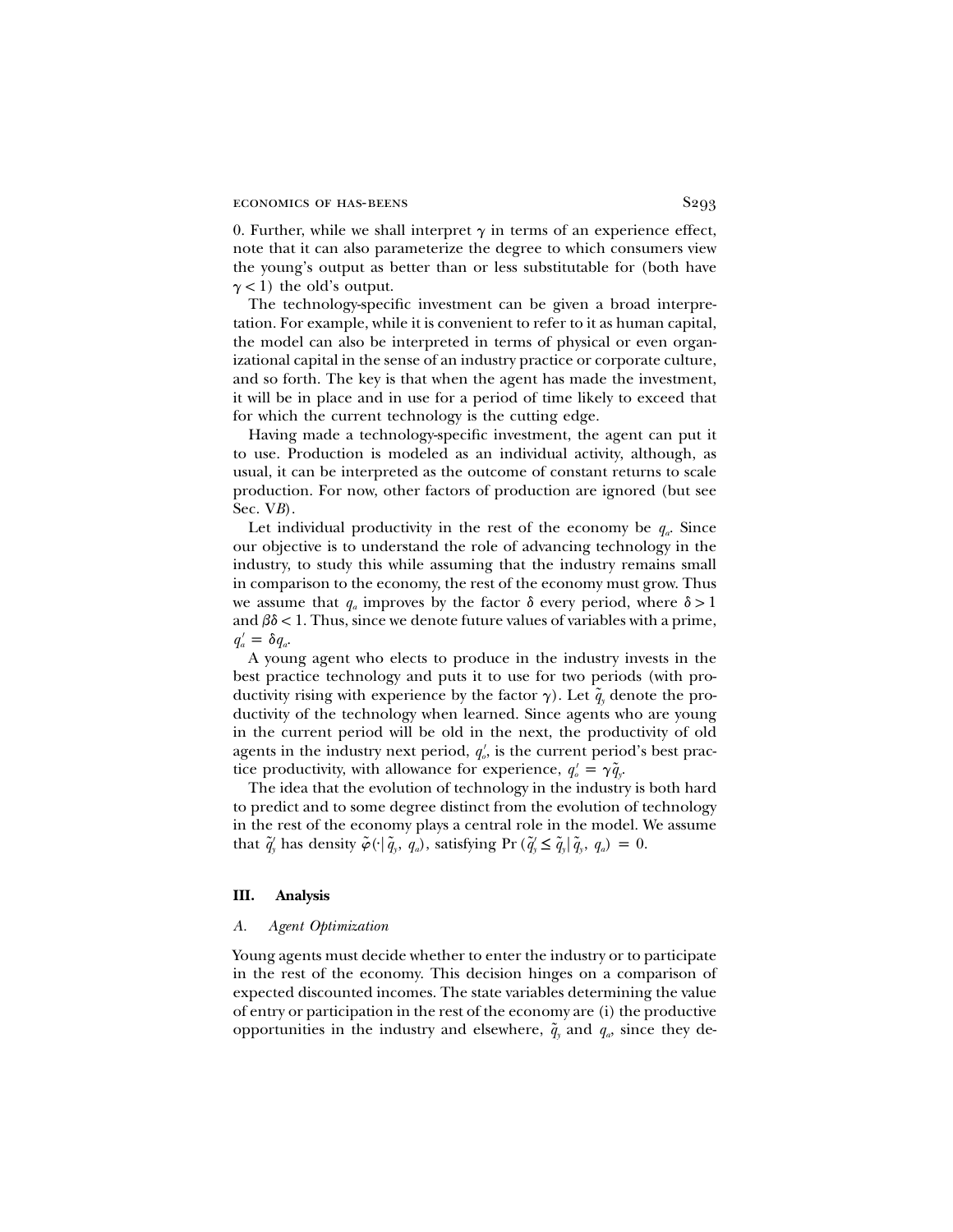0. Further, while we shall interpret  $\gamma$  in terms of an experience effect, note that it can also parameterize the degree to which consumers view the young's output as better than or less substitutable for (both have  $\gamma$  < 1) the old's output.

The technology-specific investment can be given a broad interpretation. For example, while it is convenient to refer to it as human capital, the model can also be interpreted in terms of physical or even organizational capital in the sense of an industry practice or corporate culture, and so forth. The key is that when the agent has made the investment, it will be in place and in use for a period of time likely to exceed that for which the current technology is the cutting edge.

Having made a technology-specific investment, the agent can put it to use. Production is modeled as an individual activity, although, as usual, it can be interpreted as the outcome of constant returns to scale production. For now, other factors of production are ignored (but see Sec. V*B*).

Let individual productivity in the rest of the economy be  $q_a$ . Since our objective is to understand the role of advancing technology in the industry, to study this while assuming that the industry remains small in comparison to the economy, the rest of the economy must grow. Thus we assume that  $q_a$  improves by the factor  $\delta$  every period, where  $\delta > 1$ and  $\beta \delta$  < 1. Thus, since we denote future values of variables with a prime,  $q'_a = \delta q_a$ 

A young agent who elects to produce in the industry invests in the best practice technology and puts it to use for two periods (with productivity rising with experience by the factor  $\gamma$ ). Let  $\tilde{q}$  denote the productivity of the technology when learned. Since agents who are young in the current period will be old in the next, the productivity of old agents in the industry next period,  $q_o^\prime$ , is the current period's best practice productivity, with allowance for experience,  $q'_o = \gamma \tilde{q}_y$ .

The idea that the evolution of technology in the industry is both hard to predict and to some degree distinct from the evolution of technology in the rest of the economy plays a central role in the model. We assume that  $\tilde{q}'_y$  has density  $\tilde{\varphi}(\cdot | \tilde{q}_y, q_a)$ , satisfying Pr  $(\tilde{q}'_y \leq \tilde{q}_y | \tilde{q}_y, q_a) = 0$ .

## **III. Analysis**

#### *A. Agent Optimization*

Young agents must decide whether to enter the industry or to participate in the rest of the economy. This decision hinges on a comparison of expected discounted incomes. The state variables determining the value of entry or participation in the rest of the economy are (i) the productive opportunities in the industry and elsewhere,  $\tilde{q}$ , and  $q_\omega$ , since they de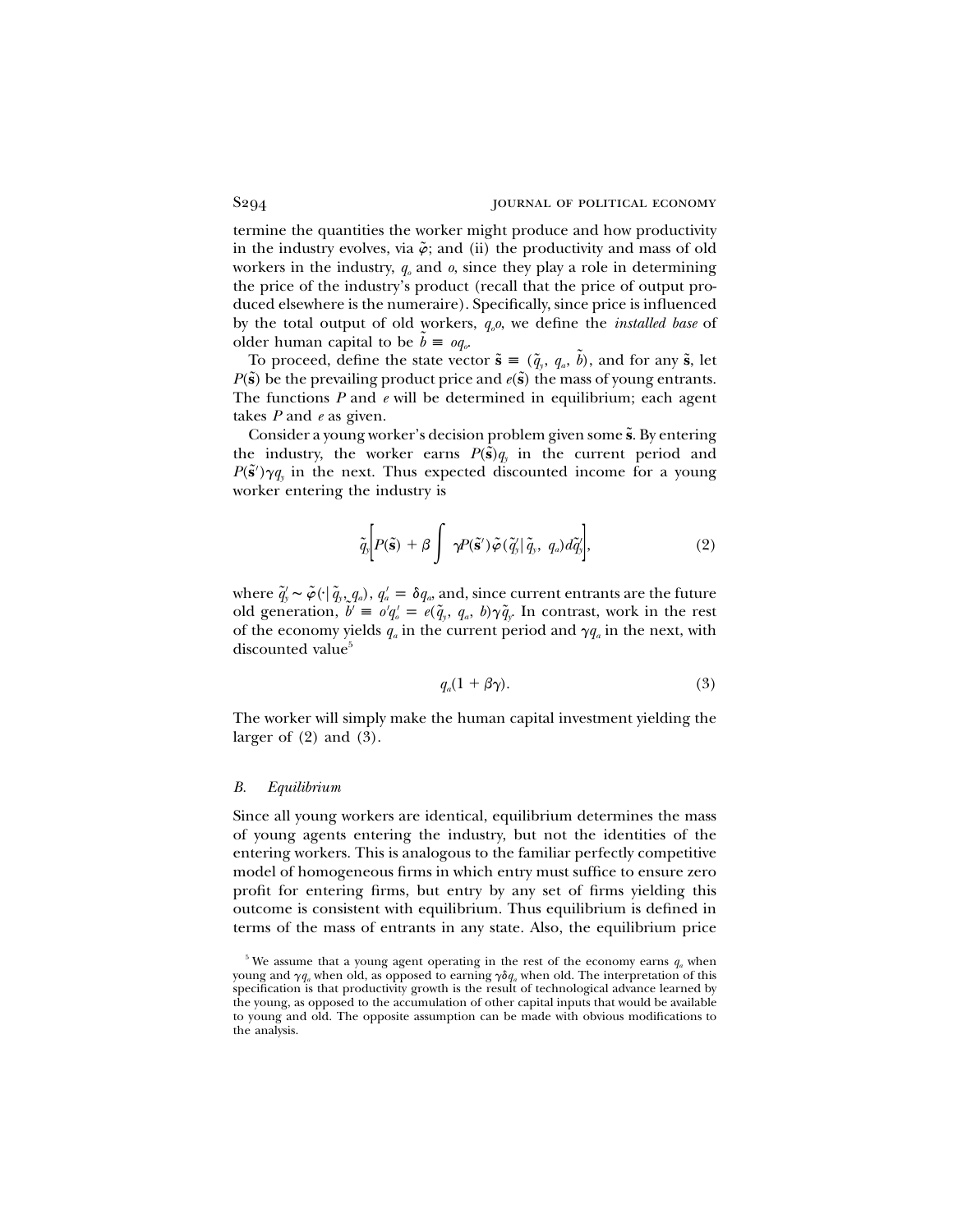termine the quantities the worker might produce and how productivity in the industry evolves, via  $\tilde{\varphi}$ ; and (ii) the productivity and mass of old workers in the industry,  $q<sub>o</sub>$  and  $o$ , since they play a role in determining the price of the industry's product (recall that the price of output produced elsewhere is the numeraire). Specifically, since price is influenced by the total output of old workers,  $q_o$ , we define the *installed base* of older human capital to be  $\tilde{b} \equiv o q_o$ .

To proceed, define the state vector  $\tilde{\mathbf{s}} \equiv (\tilde{q}_x, q_a, \tilde{b})$ , and for any  $\tilde{\mathbf{s}}$ , let *P*( $\tilde{s}$ ) be the prevailing product price and  $e(\tilde{s})$  the mass of young entrants. The functions *P* and *e* will be determined in equilibrium; each agent takes *P* and *e* as given.

Consider a young worker's decision problem given some  $\tilde{s}$ . By entering the industry, the worker earns  $P(\tilde{s})q$  in the current period and  $P(\tilde{s}')\gamma q_y$  in the next. Thus expected discounted income for a young worker entering the industry is

$$
\tilde{q}_y \bigg[ P(\tilde{\mathbf{s}}) + \beta \int \gamma P(\tilde{\mathbf{s}}') \tilde{\varphi}(\tilde{q}_y' | \tilde{q}_y, q_a) d\tilde{q}_y' \bigg], \tag{2}
$$

where  $\tilde{q}'_y \sim \tilde{\varphi}(\cdot | \tilde{q}_y, q_a)$ ,  $q'_a = \delta q_a$ , and, since current entrants are the future old generation,  $\tilde{b}' = o'q'_{o} = e(\tilde{q}_s, q_a, b)\gamma \tilde{q}_s$ . In contrast, work in the rest of the economy yields  $q_a$  in the current period and  $\gamma q_a$  in the next, with discounted value<sup>5</sup>

$$
q_a(1+\beta\gamma). \tag{3}
$$

The worker will simply make the human capital investment yielding the larger of (2) and (3).

#### *B. Equilibrium*

Since all young workers are identical, equilibrium determines the mass of young agents entering the industry, but not the identities of the entering workers. This is analogous to the familiar perfectly competitive model of homogeneous firms in which entry must suffice to ensure zero profit for entering firms, but entry by any set of firms yielding this outcome is consistent with equilibrium. Thus equilibrium is defined in terms of the mass of entrants in any state. Also, the equilibrium price

<sup>&</sup>lt;sup>5</sup> We assume that a young agent operating in the rest of the economy earns  $q_a$  when young and  $\gamma q_a$  when old, as opposed to earning  $\gamma \delta q_a$  when old. The interpretation of this specification is that productivity growth is the result of technological advance learned by the young, as opposed to the accumulation of other capital inputs that would be available to young and old. The opposite assumption can be made with obvious modifications to the analysis.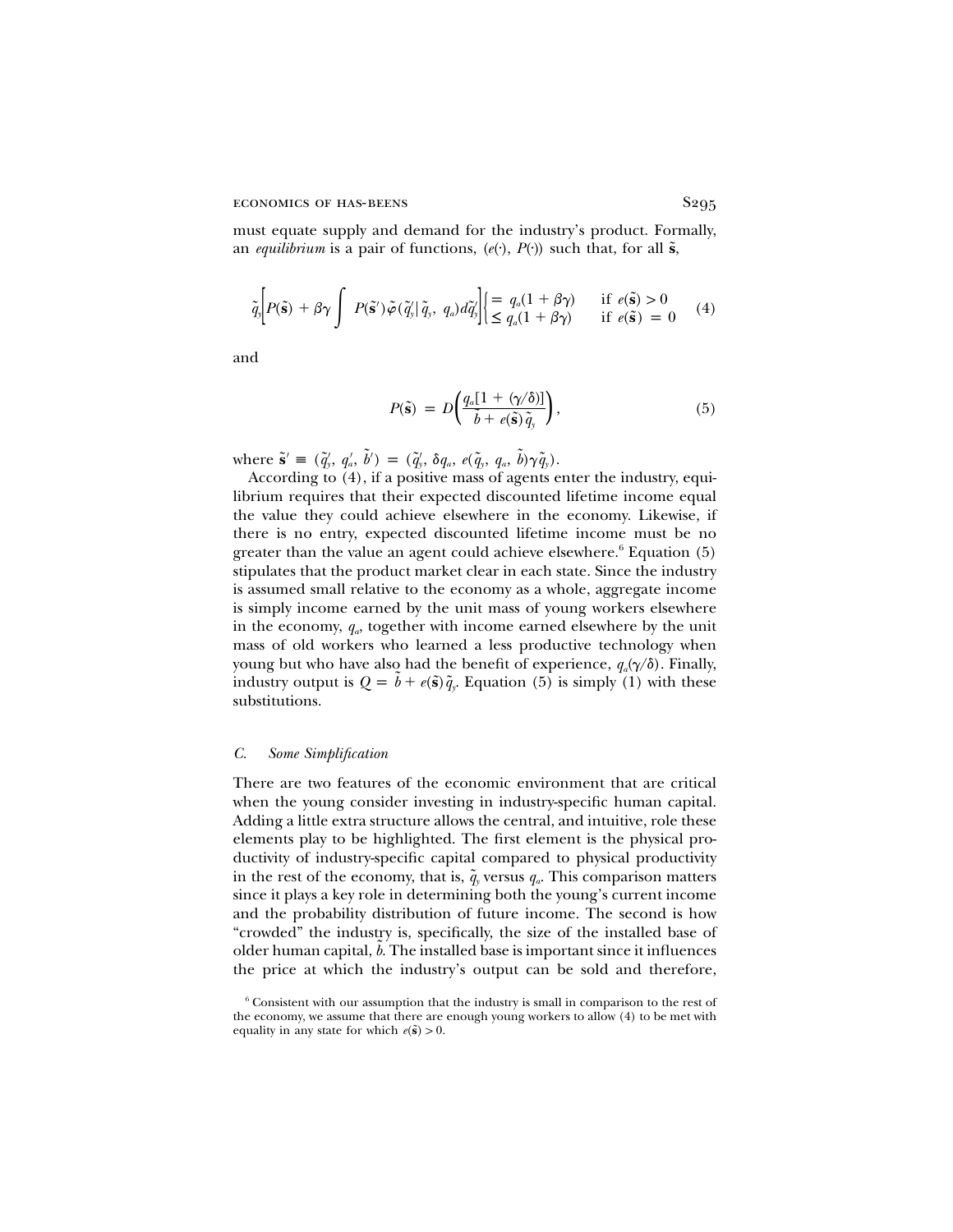#### economics of has-beens S<sub>295</sub>

must equate supply and demand for the industry's product. Formally, an *equilibrium* is a pair of functions,  $(e(·), P(·))$  such that, for all  $\tilde{s}$ ,

$$
\tilde{q}_{y}\bigg[P(\tilde{\mathbf{s}}) + \beta \gamma \int P(\tilde{\mathbf{s}}') \tilde{\varphi}(\tilde{q}_{y}' | \tilde{q}_{y}, q_{a}) d\tilde{q}_{y}'\bigg]\bigg[\leq q_{a}(1 + \beta \gamma) \quad \text{if } e(\tilde{\mathbf{s}}) > 0
$$
\n
$$
\text{if } e(\tilde{\mathbf{s}}) = 0 \quad (4)
$$

and

$$
P(\tilde{\mathbf{s}}) = D\left(\frac{q_a[1 + (\gamma/\delta)]}{\tilde{b} + e(\tilde{\mathbf{s}})}\tilde{q}_y\right),\tag{5}
$$

where  $\tilde{\mathbf{s}}' \equiv (\tilde{q}'_y, q'_a, \tilde{b}') = (\tilde{q}'_y, \delta q_a, e(\tilde{q}_y, q_a, \tilde{b}) \gamma \tilde{q}_y)$ .

According to (4), if a positive mass of agents enter the industry, equilibrium requires that their expected discounted lifetime income equal the value they could achieve elsewhere in the economy. Likewise, if there is no entry, expected discounted lifetime income must be no greater than the value an agent could achieve elsewhere. $6$  Equation (5) stipulates that the product market clear in each state. Since the industry is assumed small relative to the economy as a whole, aggregate income is simply income earned by the unit mass of young workers elsewhere in the economy,  $q_a$ , together with income earned elsewhere by the unit mass of old workers who learned a less productive technology when young but who have also had the benefit of experience,  $q_a(\gamma/\delta)$ . Finally, industry output is  $Q = b + e(\tilde{s})\tilde{q}$ . Equation (5) is simply (1) with these substitutions.

# *C. Some Simplification*

There are two features of the economic environment that are critical when the young consider investing in industry-specific human capital. Adding a little extra structure allows the central, and intuitive, role these elements play to be highlighted. The first element is the physical productivity of industry-specific capital compared to physical productivity in the rest of the economy, that is,  $\tilde{q}_y$  versus  $q_a$ . This comparison matters since it plays a key role in determining both the young's current income and the probability distribution of future income. The second is how "crowded" the industry is, specifically, the size of the installed base of older human capital,  $\tilde{b}$ . The installed base is important since it influences the price at which the industry's output can be sold and therefore,

<sup>6</sup> Consistent with our assumption that the industry is small in comparison to the rest of the economy, we assume that there are enough young workers to allow (4) to be met with equality in any state for which  $e(\tilde{s}) > 0$ .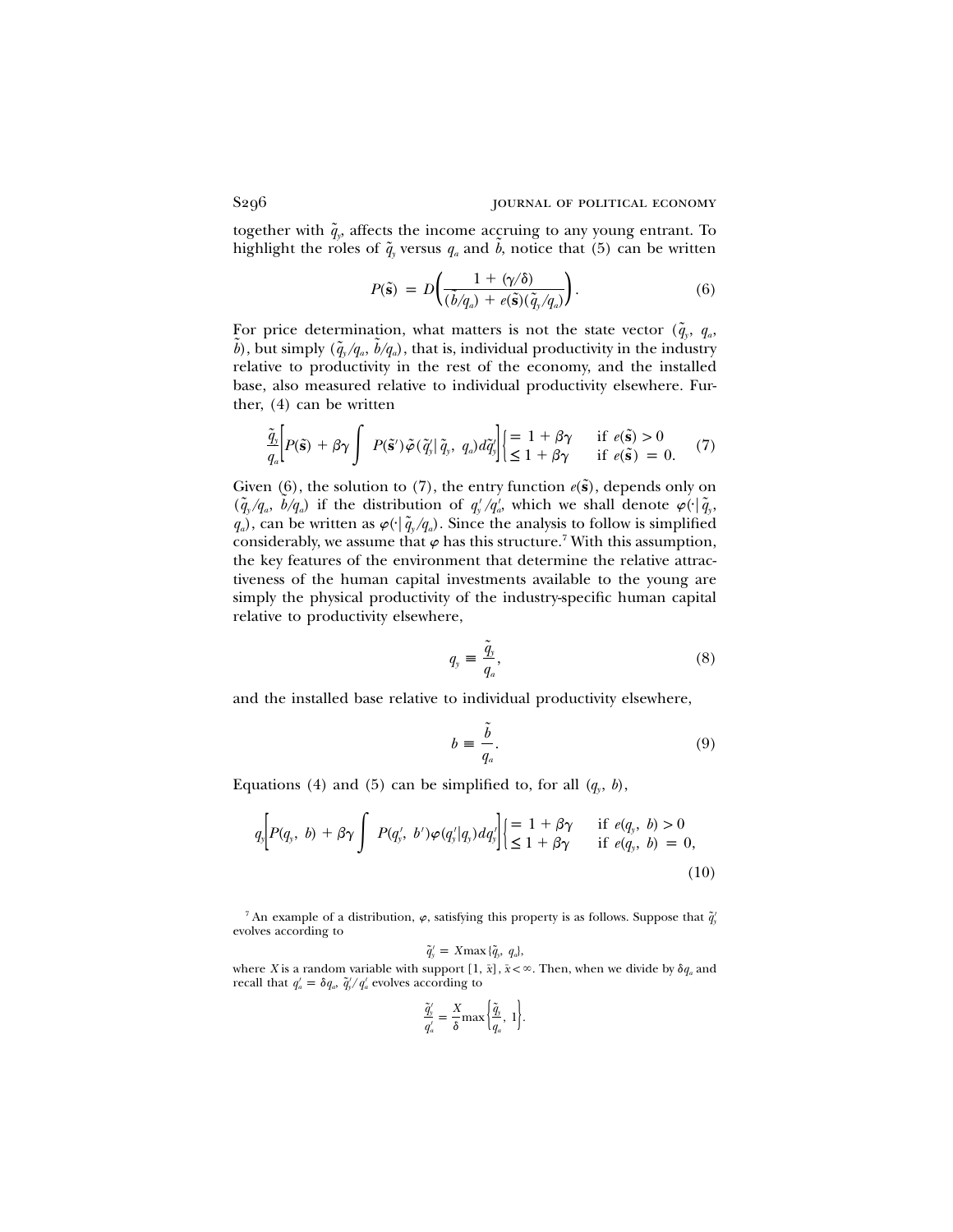together with  $\tilde{q}_y$ , affects the income accruing to any young entrant. To highlight the roles of  $\tilde{q}_y$  versus  $q_a$  and *b*, notice that (5) can be written

$$
P(\tilde{\mathbf{s}}) = D\left(\frac{1 + (\gamma/\delta)}{(\tilde{b}/q_a) + e(\tilde{\mathbf{s}})(\tilde{q}_y/q_a)}\right).
$$
 (6)

For price determination, what matters is not the state vector  $(\tilde{q}_y, q_a,$ b), but simply  $(\tilde{q}, /q_a, b/q_a)$ , that is, individual productivity in the industry relative to productivity in the rest of the economy, and the installed base, also measured relative to individual productivity elsewhere. Further, (4) can be written

$$
\frac{\tilde{q}_{y}}{q_{a}}\bigg[P(\tilde{\mathbf{s}})+\beta\gamma\int P(\tilde{\mathbf{s}}')\tilde{\varphi}(\tilde{q}_{y}|\tilde{q}_{y}, q_{a})d\tilde{q}_{y}'\bigg|\bigg\{\leq 1+\beta\gamma \quad \text{if } e(\tilde{\mathbf{s}})>0\\ \leq 1+\beta\gamma \quad \text{if } e(\tilde{\mathbf{s}})=0. \tag{7}
$$

Given (6), the solution to (7), the entry function  $e(\tilde{s})$ , depends only on  $(\tilde{q},\dot{q}_a, \tilde{b}/q_a)$  if the distribution of  $q'_y/q'_a$ , which we shall denote  $\varphi(\cdot|\tilde{q}_y)$  $q_a$ ), can be written as  $\varphi(\cdot|\tilde{q}_y/q_a)$ . Since the analysis to follow is simplified considerably, we assume that  $\varphi$  has this structure.<sup>7</sup> With this assumption, the key features of the environment that determine the relative attractiveness of the human capital investments available to the young are simply the physical productivity of the industry-specific human capital relative to productivity elsewhere,

$$
q_{y} \equiv \frac{\tilde{q}_{y}}{q_{a}},\tag{8}
$$

and the installed base relative to individual productivity elsewhere,

$$
b \equiv \frac{\tilde{b}}{q_a}.\tag{9}
$$

Equations (4) and (5) can be simplified to, for all  $(q_y, b)$ ,

$$
q_{y}\left[P(q_{y}, b) + \beta\gamma \int P(q_{y}', b')\varphi(q_{y}'|q_{y})dq_{y}'\right]\left|\begin{array}{l}\n= 1 + \beta\gamma & \text{if } e(q_{y}, b) > 0 \\
\leq 1 + \beta\gamma & \text{if } e(q_{y}, b) = 0,\n\end{array}\right.
$$
\n(10)

<sup>7</sup> An example of a distribution,  $\varphi$ , satisfying this property is as follows. Suppose that  $\tilde{q}'_y$ evolves according to

$$
\tilde{q}'_y = X \max{\{\tilde{q}_y, q_a\}},
$$

where *X* is a random variable with support  $[1, \bar{x}]$ ,  $\bar{x} < \infty$ . Then, when we divide by  $\delta q_a$  and recall that  $q'_a = \delta q_a$ ,  $\tilde{q}'_y / q'_a$  evolves according to

$$
\frac{\tilde{q}'_y}{q'_a} = \frac{X}{\delta} \max \left\{ \frac{\tilde{q}_y}{q_a}, 1 \right\}.
$$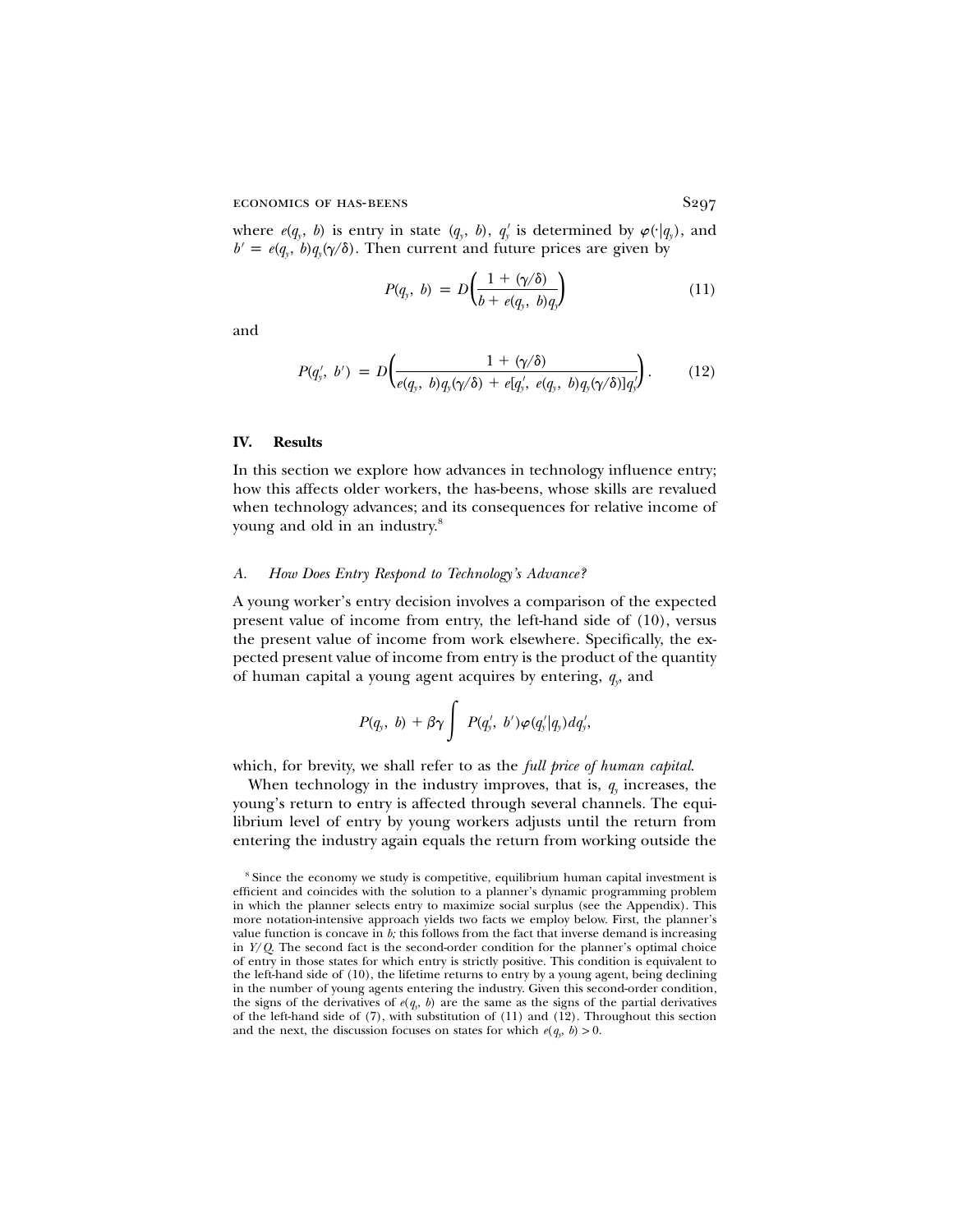economics of has-beens S<sub>297</sub>

where  $e(q_j, b)$  is entry in state  $(q_j, b)$ ,  $q'_j$  is determined by  $\varphi(\cdot|q_j)$ , and  $b' = e(q, b)q_y(\gamma/\delta)$ . Then current and future prices are given by

$$
P(q_j, b) = D\left(\frac{1 + (\gamma/\delta)}{b + e(q_j, b)q_j}\right) \tag{11}
$$

and

$$
P(q'_y, b') = D\left(\frac{1 + (\gamma/\delta)}{e(q_y, b)q_y(\gamma/\delta) + e[q'_y, e(q_y, b)q_y(\gamma/\delta)]q'_y}\right).
$$
 (12)

### **IV. Results**

In this section we explore how advances in technology influence entry; how this affects older workers, the has-beens, whose skills are revalued when technology advances; and its consequences for relative income of young and old in an industry.<sup>8</sup>

#### *A. How Does Entry Respond to Technology's Advance?*

A young worker's entry decision involves a comparison of the expected present value of income from entry, the left-hand side of (10), versus the present value of income from work elsewhere. Specifically, the expected present value of income from entry is the product of the quantity of human capital a young agent acquires by entering,  $q<sub>y</sub>$ , and

$$
P(q_j, b) + \beta \gamma \int P(q'_j, b') \varphi(q'_j | q_j) dq'_j,
$$

which, for brevity, we shall refer to as the *full price of human capital*.

When technology in the industry improves, that is,  $q_y$  increases, the young's return to entry is affected through several channels. The equilibrium level of entry by young workers adjusts until the return from entering the industry again equals the return from working outside the

<sup>&</sup>lt;sup>8</sup> Since the economy we study is competitive, equilibrium human capital investment is efficient and coincides with the solution to a planner's dynamic programming problem in which the planner selects entry to maximize social surplus (see the Appendix). This more notation-intensive approach yields two facts we employ below. First, the planner's value function is concave in  $b$ ; this follows from the fact that inverse demand is increasing in  $Y/Q$ . The second fact is the second-order condition for the planner's optimal choice of entry in those states for which entry is strictly positive. This condition is equivalent to the left-hand side of (10), the lifetime returns to entry by a young agent, being declining in the number of young agents entering the industry. Given this second-order condition, the signs of the derivatives of  $e(q, b)$  are the same as the signs of the partial derivatives of the left-hand side of (7), with substitution of (11) and (12). Throughout this section and the next, the discussion focuses on states for which  $e(q_y, b) > 0$ .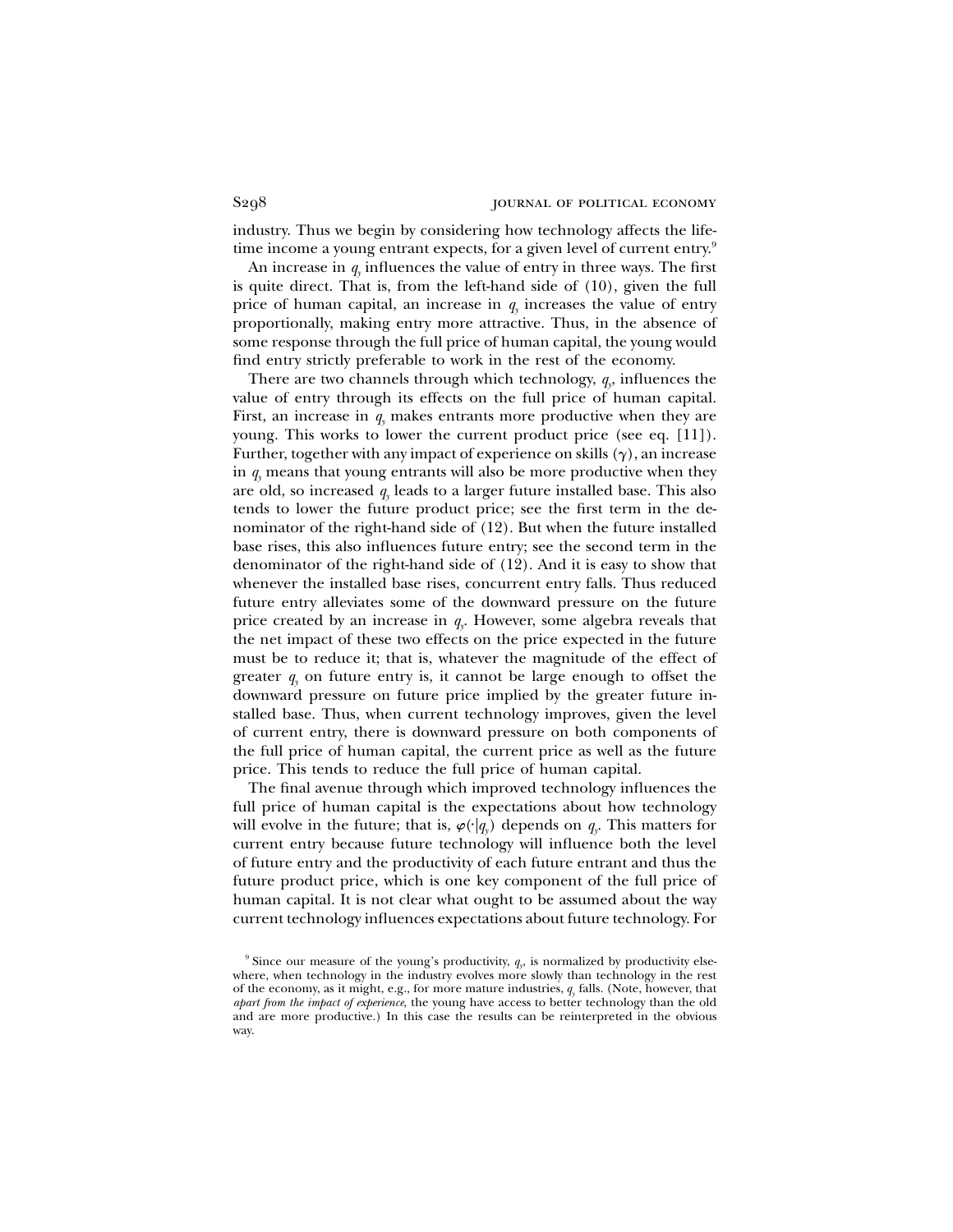industry. Thus we begin by considering how technology affects the lifetime income a young entrant expects, for a given level of current entry.<sup>9</sup>

An increase in  $q_{\text{v}}$  influences the value of entry in three ways. The first is quite direct. That is, from the left-hand side of (10), given the full price of human capital, an increase in  $q<sub>y</sub>$  increases the value of entry proportionally, making entry more attractive. Thus, in the absence of some response through the full price of human capital, the young would find entry strictly preferable to work in the rest of the economy.

There are two channels through which technology,  $q<sub>y</sub>$ , influences the value of entry through its effects on the full price of human capital. First, an increase in  $q_y$  makes entrants more productive when they are young. This works to lower the current product price (see eq. [11]). Further, together with any impact of experience on skills  $(\gamma)$ , an increase in  $q<sub>s</sub>$  means that young entrants will also be more productive when they are old, so increased  $q<sub>s</sub>$  leads to a larger future installed base. This also tends to lower the future product price; see the first term in the denominator of the right-hand side of (12). But when the future installed base rises, this also influences future entry; see the second term in the denominator of the right-hand side of (12). And it is easy to show that whenever the installed base rises, concurrent entry falls. Thus reduced future entry alleviates some of the downward pressure on the future price created by an increase in  $q_y$ . However, some algebra reveals that the net impact of these two effects on the price expected in the future must be to reduce it; that is, whatever the magnitude of the effect of greater  $q<sub>s</sub>$  on future entry is, it cannot be large enough to offset the downward pressure on future price implied by the greater future installed base. Thus, when current technology improves, given the level of current entry, there is downward pressure on both components of the full price of human capital, the current price as well as the future price. This tends to reduce the full price of human capital.

The final avenue through which improved technology influences the full price of human capital is the expectations about how technology will evolve in the future; that is,  $\varphi(\cdot|q_y)$  depends on  $q_y$ . This matters for current entry because future technology will influence both the level of future entry and the productivity of each future entrant and thus the future product price, which is one key component of the full price of human capital. It is not clear what ought to be assumed about the way current technology influences expectations about future technology. For

<sup>&</sup>lt;sup>9</sup> Since our measure of the young's productivity,  $q<sub>y</sub>$ , is normalized by productivity elsewhere, when technology in the industry evolves more slowly than technology in the rest of the economy, as it might, e.g., for more mature industries,  $q<sub>s</sub>$  falls. (Note, however, that *apart from the impact of experience*, the young have access to better technology than the old and are more productive.) In this case the results can be reinterpreted in the obvious way.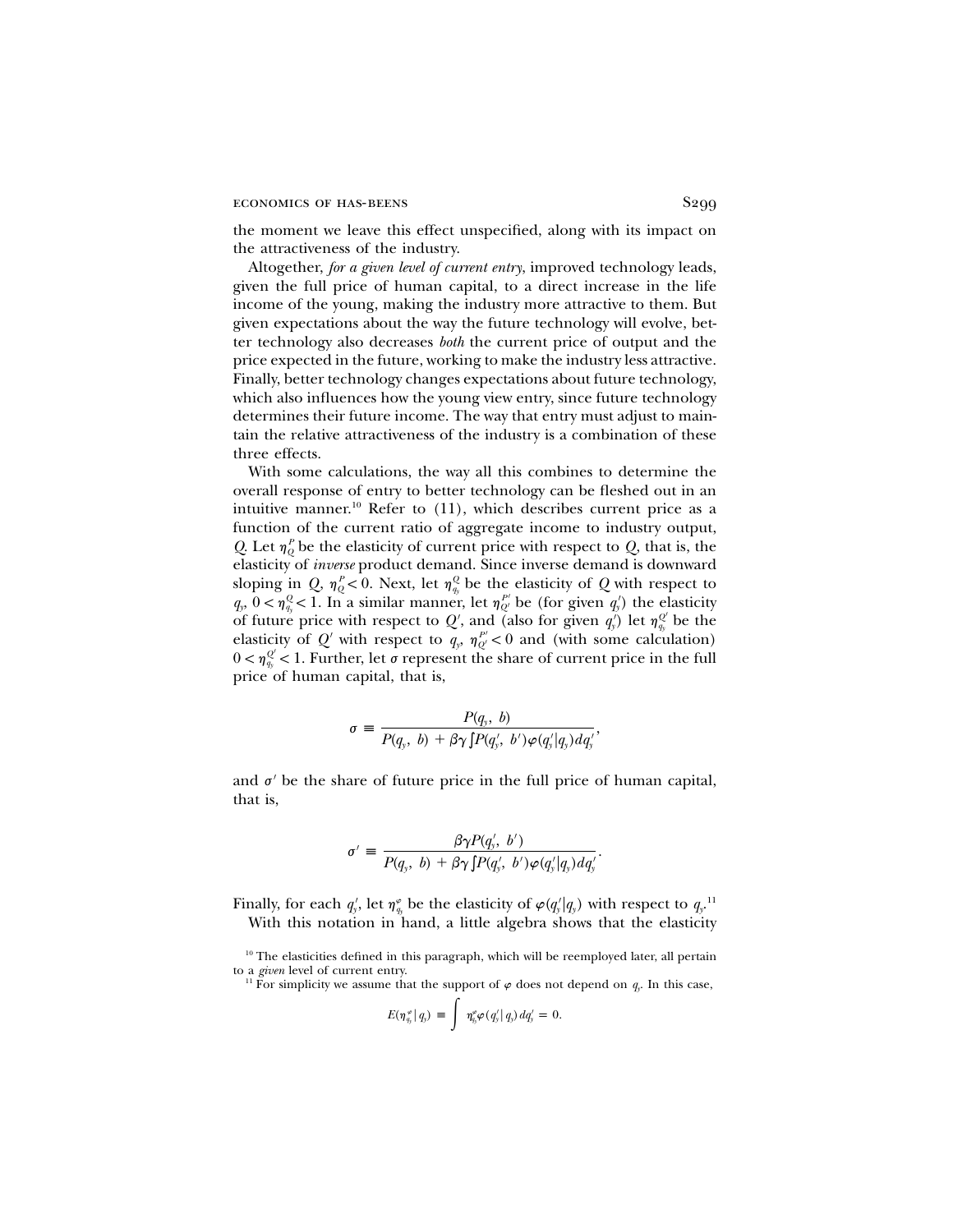#### economics of has-beens S<sub>299</sub>

the moment we leave this effect unspecified, along with its impact on the attractiveness of the industry.

Altogether, *for a given level of current entry*, improved technology leads, given the full price of human capital, to a direct increase in the life income of the young, making the industry more attractive to them. But given expectations about the way the future technology will evolve, better technology also decreases *both* the current price of output and the price expected in the future, working to make the industry less attractive. Finally, better technology changes expectations about future technology, which also influences how the young view entry, since future technology determines their future income. The way that entry must adjust to maintain the relative attractiveness of the industry is a combination of these three effects.

With some calculations, the way all this combines to determine the overall response of entry to better technology can be fleshed out in an intuitive manner.<sup>10</sup> Refer to  $(11)$ , which describes current price as a function of the current ratio of aggregate income to industry output, *Q*. Let  $\eta_o^P$  be the elasticity of current price with respect to *Q*, that is, the elasticity of *inverse* product demand. Since inverse demand is downward sloping in *Q*,  $\eta_{\mathcal{Q}}^P$  < 0. Next, let  $\eta_{\mathcal{H}}^Q$  be the elasticity of *Q* with respect to  $q_y$ ,  $0 < \eta_{\xi}^Q < 1$ . In a similar manner, let  $\eta_{Q'}^{P'}$  be (for given  $q'_y$ ) the elasticity of future price with respect to  $Q'$ , and (also for given  $q'_{y}$ ) let  $\eta_{q_{y}}^{Q'}$  be the elasticity of  $Q'$  with respect to  $q_y$ ,  $\eta_{Q'}^{P'} < 0$  and (with some calculation)  $0 < \eta_{q_y}^{Q'} < 1.$  Further, let  $\sigma$  represent the share of current price in the full price of human capital, that is,

$$
\sigma \equiv \frac{P(q_y, b)}{P(q_y, b) + \beta \gamma \int P(q'_y, b') \varphi(q'_y | q_y) dq'_y},
$$

and  $\sigma'$  be the share of future price in the full price of human capital, that is,

$$
\sigma' \equiv \frac{\beta \gamma P(q'_y, b')}{P(q_y, b) + \beta \gamma \int P(q'_y, b') \varphi(q'_y | q_y) dq'_y}.
$$

Finally, for each  $q'_y$ , let  $\eta^e_{q_y}$  be the elasticity of  $\varphi(q'_y|q_y)$  with respect to  $q_y$ .<sup>11</sup> With this notation in hand, a little algebra shows that the elasticity

$$
E(\eta_{q_j}^{\varphi} | q_j) \equiv \int \eta_{q_j}^{\varphi} \varphi(q_j' | q_j) dq_j' = 0.
$$

<sup>&</sup>lt;sup>10</sup> The elasticities defined in this paragraph, which will be reemployed later, all pertain to a *given* level of current entry.

<sup>&</sup>lt;sup>11</sup> For simplicity we assume that the support of  $\varphi$  does not depend on  $q_y$ . In this case,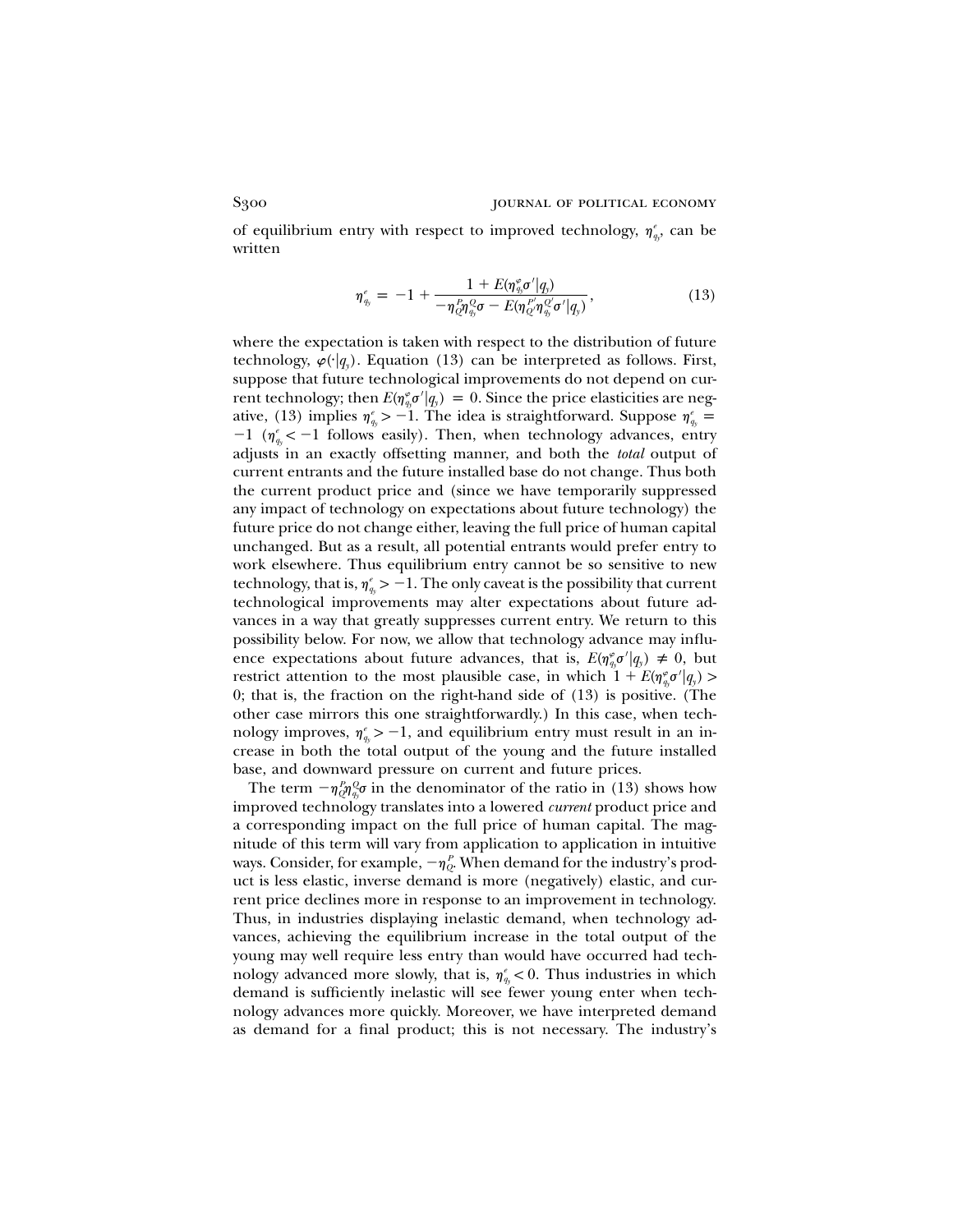of equilibrium entry with respect to improved technology,  $\eta_{q}^e$ , can be written

$$
\eta_{q_y}^{\epsilon} = -1 + \frac{1 + E(\eta_{q_y}^{\varphi} \sigma'|q_y)}{-\eta_{Q}^{\rho} \eta_{q_y}^{\Omega} \sigma - E(\eta_{Q'}^{\rho'} \eta_{q_y}^{\Omega'} \sigma'|q_y)},
$$
\n(13)

where the expectation is taken with respect to the distribution of future technology,  $\varphi(\cdot|q_{\nu})$ . Equation (13) can be interpreted as follows. First, suppose that future technological improvements do not depend on current technology; then  $E(\eta_{\phi}^{\varphi}\sigma'|\bar{q}_{y}) = 0$ . Since the price elasticities are negative, (13) implies  $\eta_{q_y}^e > -1$ . The idea is straightforward. Suppose  $\eta_{q_y}^e =$  $-1$  ( $\eta^e_{\eta}$  < -1 follows easily). Then, when technology advances, entry adjusts in an exactly offsetting manner, and both the *total* output of current entrants and the future installed base do not change. Thus both the current product price and (since we have temporarily suppressed any impact of technology on expectations about future technology) the future price do not change either, leaving the full price of human capital unchanged. But as a result, all potential entrants would prefer entry to work elsewhere. Thus equilibrium entry cannot be so sensitive to new technology, that is,  $\eta_{q}^e > -1$ . The only caveat is the possibility that current technological improvements may alter expectations about future advances in a way that greatly suppresses current entry. We return to this possibility below. For now, we allow that technology advance may influence expectations about future advances, that is,  $E(\eta_{q_y}^{\varphi} \sigma' | q_y) \neq 0$ , but restrict attention to the most plausible case, in which  $1 + E(\eta_{\phi}^{\varphi} \sigma' | q_{y})$ 0; that is, the fraction on the right-hand side of (13) is positive. (The other case mirrors this one straightforwardly.) In this case, when technology improves,  $\eta_{a}^{e} > -1$ , and equilibrium entry must result in an increase in both the total output of the young and the future installed base, and downward pressure on current and future prices.

The term  $-\eta_{\theta}^P \eta_{\theta}^Q \sigma$  in the denominator of the ratio in (13) shows how improved technology translates into a lowered *current* product price and a corresponding impact on the full price of human capital. The magnitude of this term will vary from application to application in intuitive ways. Consider, for example,  $-\eta_Q^P$ . When demand for the industry's product is less elastic, inverse demand is more (negatively) elastic, and current price declines more in response to an improvement in technology. Thus, in industries displaying inelastic demand, when technology advances, achieving the equilibrium increase in the total output of the young may well require less entry than would have occurred had technology advanced more slowly, that is,  $\eta_{\phi}^e < 0$ . Thus industries in which demand is sufficiently inelastic will see fewer young enter when technology advances more quickly. Moreover, we have interpreted demand as demand for a final product; this is not necessary. The industry's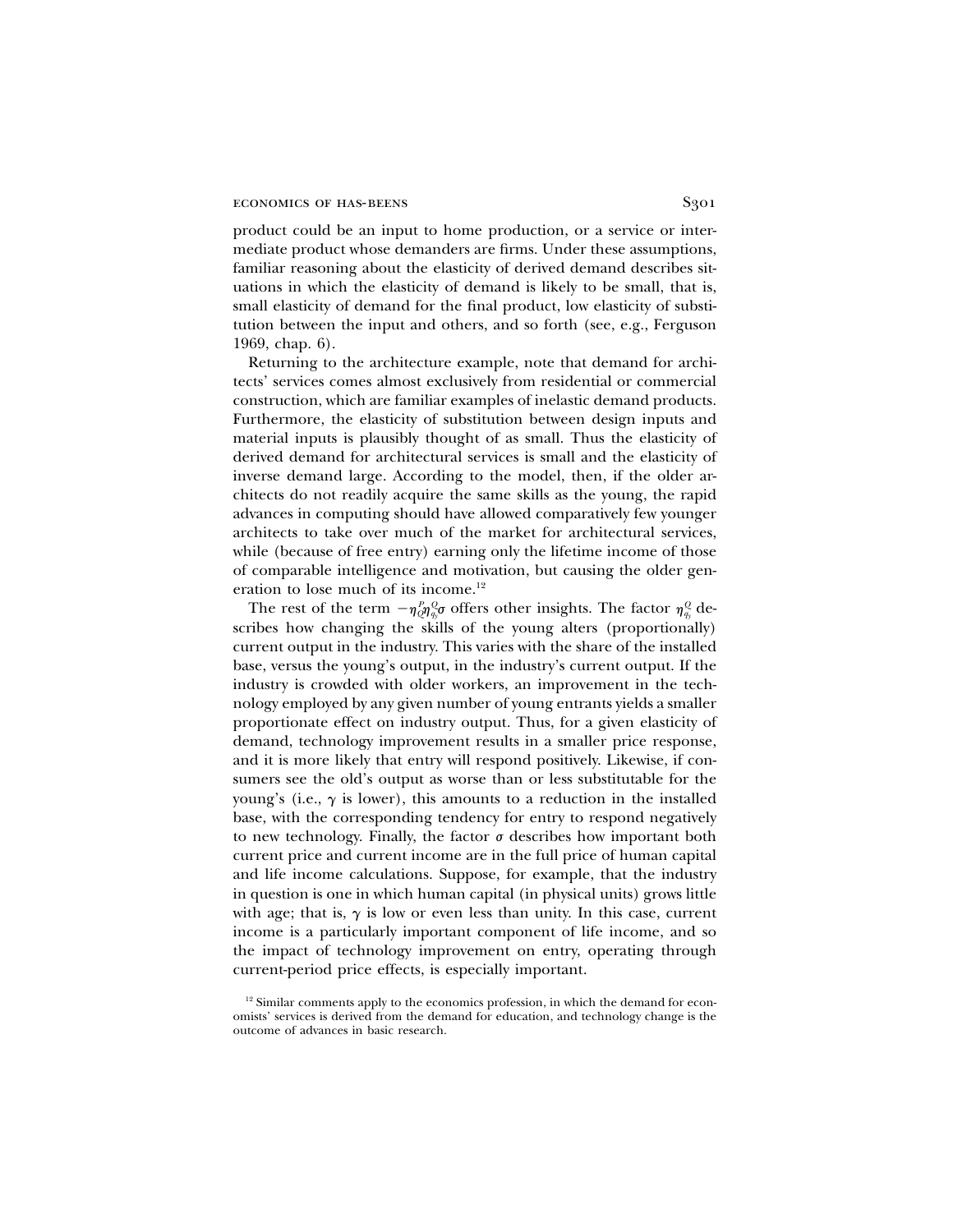### economics of has-beens S<sub>301</sub>

product could be an input to home production, or a service or intermediate product whose demanders are firms. Under these assumptions, familiar reasoning about the elasticity of derived demand describes situations in which the elasticity of demand is likely to be small, that is, small elasticity of demand for the final product, low elasticity of substitution between the input and others, and so forth (see, e.g., Ferguson 1969, chap. 6).

Returning to the architecture example, note that demand for architects' services comes almost exclusively from residential or commercial construction, which are familiar examples of inelastic demand products. Furthermore, the elasticity of substitution between design inputs and material inputs is plausibly thought of as small. Thus the elasticity of derived demand for architectural services is small and the elasticity of inverse demand large. According to the model, then, if the older architects do not readily acquire the same skills as the young, the rapid advances in computing should have allowed comparatively few younger architects to take over much of the market for architectural services, while (because of free entry) earning only the lifetime income of those of comparable intelligence and motivation, but causing the older generation to lose much of its income.<sup>12</sup>

The rest of the term  $-\eta_{\theta}^P \eta_{\phi}^Q \sigma$  offers other insights. The factor  $\eta_{\phi}^Q$  describes how changing the skills of the young alters (proportionally) current output in the industry. This varies with the share of the installed base, versus the young's output, in the industry's current output. If the industry is crowded with older workers, an improvement in the technology employed by any given number of young entrants yields a smaller proportionate effect on industry output. Thus, for a given elasticity of demand, technology improvement results in a smaller price response, and it is more likely that entry will respond positively. Likewise, if consumers see the old's output as worse than or less substitutable for the young's (i.e.,  $\gamma$  is lower), this amounts to a reduction in the installed base, with the corresponding tendency for entry to respond negatively to new technology. Finally, the factor  $\sigma$  describes how important both current price and current income are in the full price of human capital and life income calculations. Suppose, for example, that the industry in question is one in which human capital (in physical units) grows little with age; that is,  $\gamma$  is low or even less than unity. In this case, current income is a particularly important component of life income, and so the impact of technology improvement on entry, operating through current-period price effects, is especially important.

<sup>&</sup>lt;sup>12</sup> Similar comments apply to the economics profession, in which the demand for economists' services is derived from the demand for education, and technology change is the outcome of advances in basic research.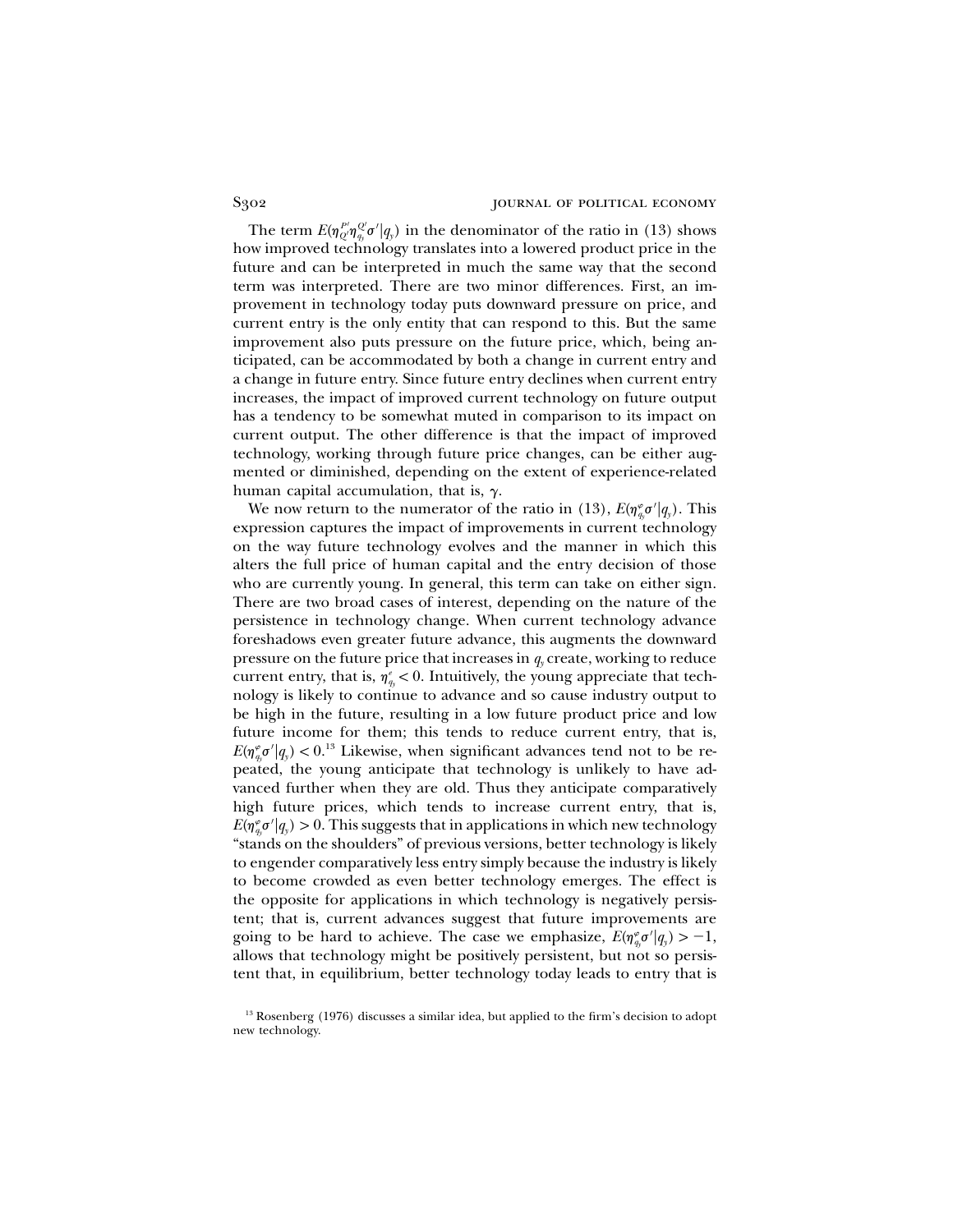The term  $E(\eta_{Q'}^{P'}\eta_{\phi}^{Q'}\sigma' | q_{y})$  in the denominator of the ratio in (13) shows how improved technology translates into a lowered product price in the future and can be interpreted in much the same way that the second term was interpreted. There are two minor differences. First, an improvement in technology today puts downward pressure on price, and current entry is the only entity that can respond to this. But the same improvement also puts pressure on the future price, which, being anticipated, can be accommodated by both a change in current entry and a change in future entry. Since future entry declines when current entry increases, the impact of improved current technology on future output has a tendency to be somewhat muted in comparison to its impact on current output. The other difference is that the impact of improved technology, working through future price changes, can be either augmented or diminished, depending on the extent of experience-related human capital accumulation, that is,  $\gamma$ .

We now return to the numerator of the ratio in (13),  $E(\eta_{q}^e \sigma' | q_y)$ . This expression captures the impact of improvements in current technology on the way future technology evolves and the manner in which this alters the full price of human capital and the entry decision of those who are currently young. In general, this term can take on either sign. There are two broad cases of interest, depending on the nature of the persistence in technology change. When current technology advance foreshadows even greater future advance, this augments the downward pressure on the future price that increases in  $q<sub>y</sub>$  create, working to reduce current entry, that is,  $\eta_a^e < 0$ . Intuitively, the young appreciate that technology is likely to continue to advance and so cause industry output to be high in the future, resulting in a low future product price and low future income for them; this tends to reduce current entry, that is,  $E(\eta_{y}^{\varphi}\sigma'|q_{y}) < 0.^{13}$  Likewise, when significant advances tend not to be repeated, the young anticipate that technology is unlikely to have advanced further when they are old. Thus they anticipate comparatively high future prices, which tends to increase current entry, that is,  $E(\eta_{g_y}^{\varphi} \sigma' | q_y) > 0$ . This suggests that in applications in which new technology "stands on the shoulders" of previous versions, better technology is likely to engender comparatively less entry simply because the industry is likely to become crowded as even better technology emerges. The effect is the opposite for applications in which technology is negatively persistent; that is, current advances suggest that future improvements are going to be hard to achieve. The case we emphasize,  $E(\eta_{qg}^{\varphi} \sigma' | q_{y}) > -1$ , allows that technology might be positively persistent, but not so persistent that, in equilibrium, better technology today leads to entry that is

<sup>&</sup>lt;sup>13</sup> Rosenberg (1976) discusses a similar idea, but applied to the firm's decision to adopt new technology.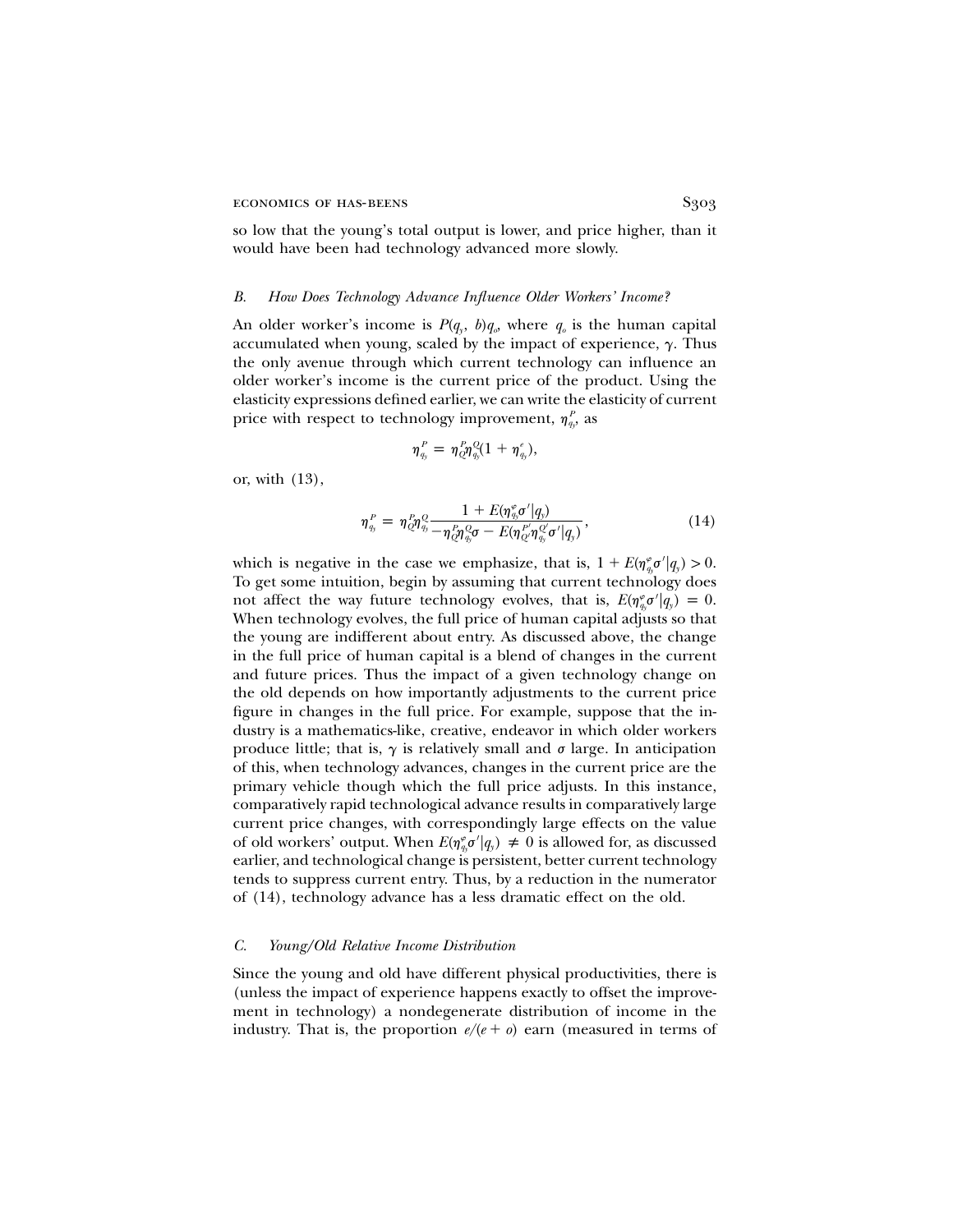so low that the young's total output is lower, and price higher, than it would have been had technology advanced more slowly.

### *B. How Does Technology Advance Influence Older Workers' Income?*

An older worker's income is  $P(q_i, b)q_o$ , where  $q_o$  is the human capital accumulated when young, scaled by the impact of experience,  $\gamma$ . Thus the only avenue through which current technology can influence an older worker's income is the current price of the product. Using the elasticity expressions defined earlier, we can write the elasticity of current price with respect to technology improvement,  $\eta_{q}^P$ , as

$$
\eta_{q_y}^P = \eta_{Q}^P \eta_{q_y}^Q (1 + \eta_{q_y}^e),
$$

or, with (13),

$$
\eta_{q_j}^P = \eta_{\mathcal{Q}}^P \eta_{q_j}^Q \frac{1 + E(\eta_{q_j}^{\varphi} \sigma'|q_j)}{-\eta_{\mathcal{Q}}^P \eta_{q_j}^Q \sigma - E(\eta_{\mathcal{Q}}^{P'} \eta_{q_j}^{Q'} \sigma'|q_j)},\tag{14}
$$

which is negative in the case we emphasize, that is,  $1 + E(\eta_{q}^{\varphi} \sigma' | q_y) > 0$ . To get some intuition, begin by assuming that current technology does not affect the way future technology evolves, that is,  $E(\eta_{q}^e \sigma' | q_y) = 0$ . When technology evolves, the full price of human capital adjusts so that the young are indifferent about entry. As discussed above, the change in the full price of human capital is a blend of changes in the current and future prices. Thus the impact of a given technology change on the old depends on how importantly adjustments to the current price figure in changes in the full price. For example, suppose that the industry is a mathematics-like, creative, endeavor in which older workers produce little; that is,  $\gamma$  is relatively small and  $\sigma$  large. In anticipation of this, when technology advances, changes in the current price are the primary vehicle though which the full price adjusts. In this instance, comparatively rapid technological advance results in comparatively large current price changes, with correspondingly large effects on the value of old workers' output. When  $E(\eta_{q}^e \sigma' | q_y) \neq 0$  is allowed for, as discussed earlier, and technological change is persistent, better current technology tends to suppress current entry. Thus, by a reduction in the numerator of (14), technology advance has a less dramatic effect on the old.

#### *C. Young/Old Relative Income Distribution*

Since the young and old have different physical productivities, there is (unless the impact of experience happens exactly to offset the improvement in technology) a nondegenerate distribution of income in the industry. That is, the proportion  $e/(e + o)$  earn (measured in terms of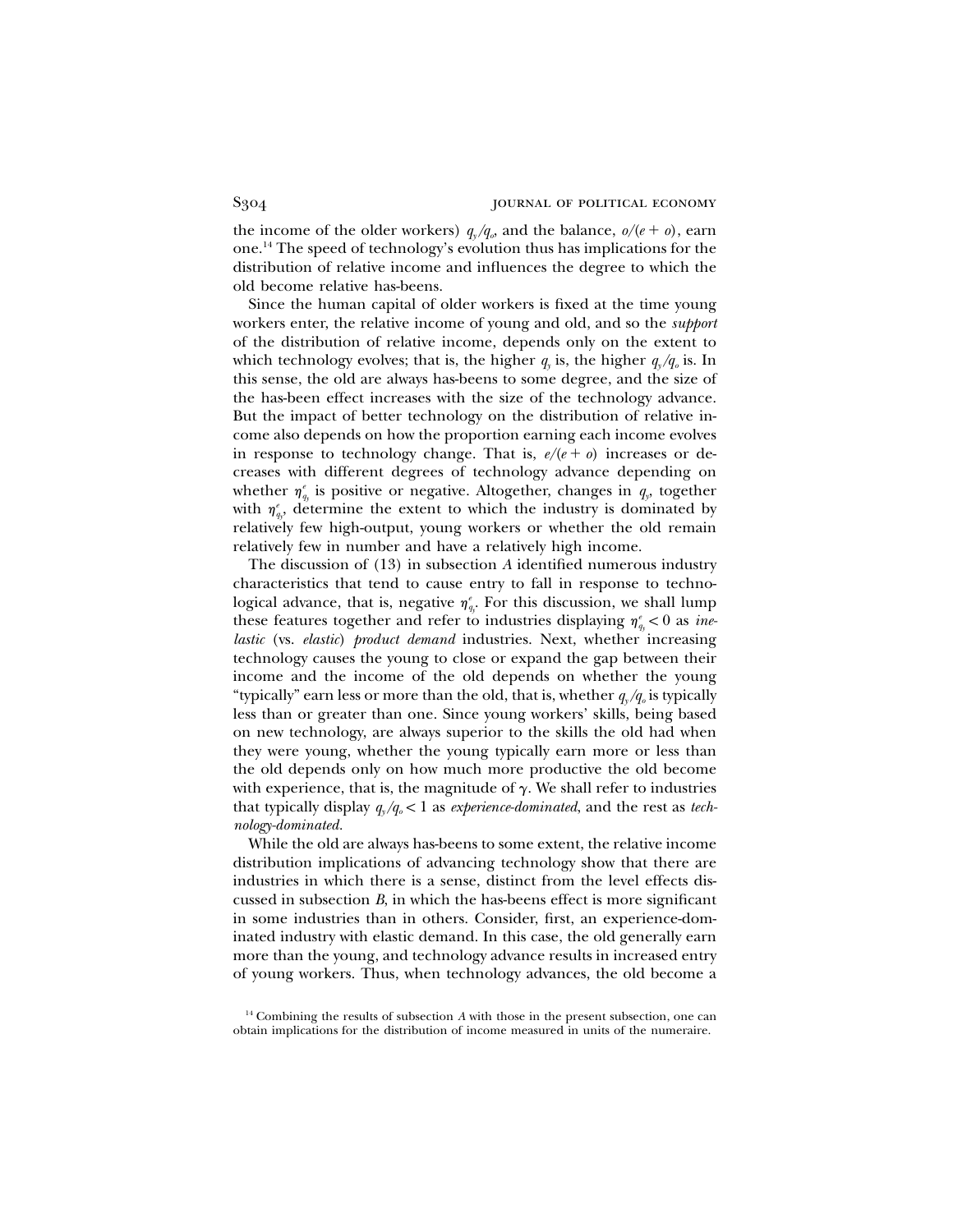the income of the older workers)  $q_y/q_\nu$  and the balance,  $\frac{o}{(e+o)}$ , earn one.<sup>14</sup> The speed of technology's evolution thus has implications for the distribution of relative income and influences the degree to which the old become relative has-beens.

Since the human capital of older workers is fixed at the time young workers enter, the relative income of young and old, and so the *support* of the distribution of relative income, depends only on the extent to which technology evolves; that is, the higher  $q_s$  is, the higher  $q_s/q_s$  is. In this sense, the old are always has-beens to some degree, and the size of the has-been effect increases with the size of the technology advance. But the impact of better technology on the distribution of relative income also depends on how the proportion earning each income evolves in response to technology change. That is,  $e/(e + o)$  increases or decreases with different degrees of technology advance depending on whether  $\eta_{q_v}^e$  is positive or negative. Altogether, changes in  $q_y$ , together with  $\eta_{\alpha}^e$ , determine the extent to which the industry is dominated by relatively few high-output, young workers or whether the old remain relatively few in number and have a relatively high income.

The discussion of (13) in subsection *A* identified numerous industry characteristics that tend to cause entry to fall in response to technological advance, that is, negative  $\eta_{\alpha}^e$ . For this discussion, we shall lump these features together and refer to industries displaying  $\eta_{\phi}^e < 0$  as *inelastic* (vs. *elastic*) *product demand* industries. Next, whether increasing technology causes the young to close or expand the gap between their income and the income of the old depends on whether the young "typically" earn less or more than the old, that is, whether  $q_y/q_a$  is typically less than or greater than one. Since young workers' skills, being based on new technology, are always superior to the skills the old had when they were young, whether the young typically earn more or less than the old depends only on how much more productive the old become with experience, that is, the magnitude of  $\gamma$ . We shall refer to industries that typically display  $q_{y}/q_{y} < 1$  as *experience-dominated*, and the rest as *technology-dominated.*

While the old are always has-beens to some extent, the relative income distribution implications of advancing technology show that there are industries in which there is a sense, distinct from the level effects discussed in subsection *B*, in which the has-beens effect is more significant in some industries than in others. Consider, first, an experience-dominated industry with elastic demand. In this case, the old generally earn more than the young, and technology advance results in increased entry of young workers. Thus, when technology advances, the old become a

<sup>&</sup>lt;sup>14</sup> Combining the results of subsection *A* with those in the present subsection, one can obtain implications for the distribution of income measured in units of the numeraire.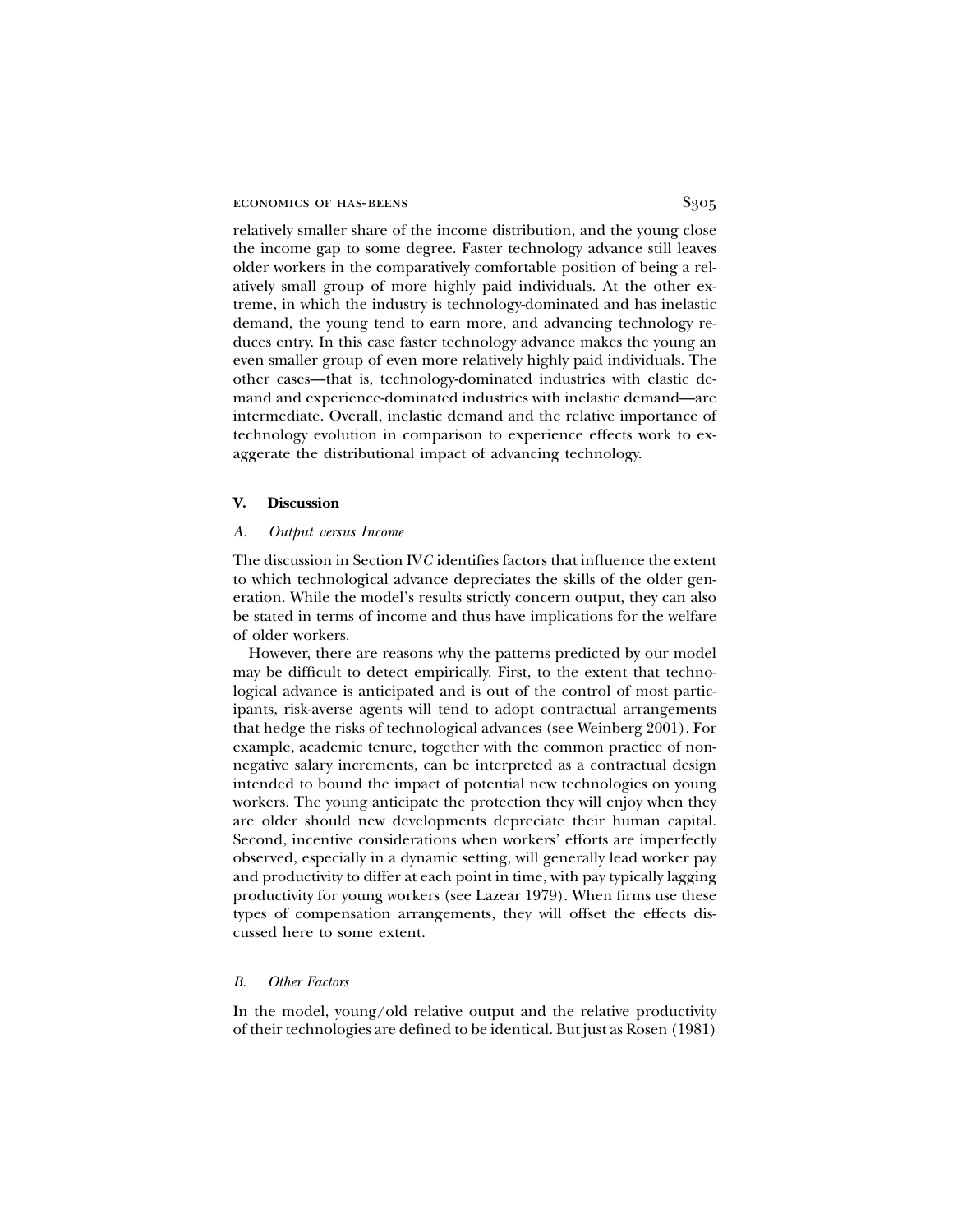relatively smaller share of the income distribution, and the young close the income gap to some degree. Faster technology advance still leaves older workers in the comparatively comfortable position of being a relatively small group of more highly paid individuals. At the other extreme, in which the industry is technology-dominated and has inelastic demand, the young tend to earn more, and advancing technology reduces entry. In this case faster technology advance makes the young an even smaller group of even more relatively highly paid individuals. The other cases—that is, technology-dominated industries with elastic demand and experience-dominated industries with inelastic demand—are intermediate. Overall, inelastic demand and the relative importance of technology evolution in comparison to experience effects work to exaggerate the distributional impact of advancing technology.

## **V. Discussion**

#### *A. Output versus Income*

The discussion in Section IV*C* identifies factors that influence the extent to which technological advance depreciates the skills of the older generation. While the model's results strictly concern output, they can also be stated in terms of income and thus have implications for the welfare of older workers.

However, there are reasons why the patterns predicted by our model may be difficult to detect empirically. First, to the extent that technological advance is anticipated and is out of the control of most participants, risk-averse agents will tend to adopt contractual arrangements that hedge the risks of technological advances (see Weinberg 2001). For example, academic tenure, together with the common practice of nonnegative salary increments, can be interpreted as a contractual design intended to bound the impact of potential new technologies on young workers. The young anticipate the protection they will enjoy when they are older should new developments depreciate their human capital. Second, incentive considerations when workers' efforts are imperfectly observed, especially in a dynamic setting, will generally lead worker pay and productivity to differ at each point in time, with pay typically lagging productivity for young workers (see Lazear 1979). When firms use these types of compensation arrangements, they will offset the effects discussed here to some extent.

# *B. Other Factors*

In the model, young/old relative output and the relative productivity of their technologies are defined to be identical. But just as Rosen (1981)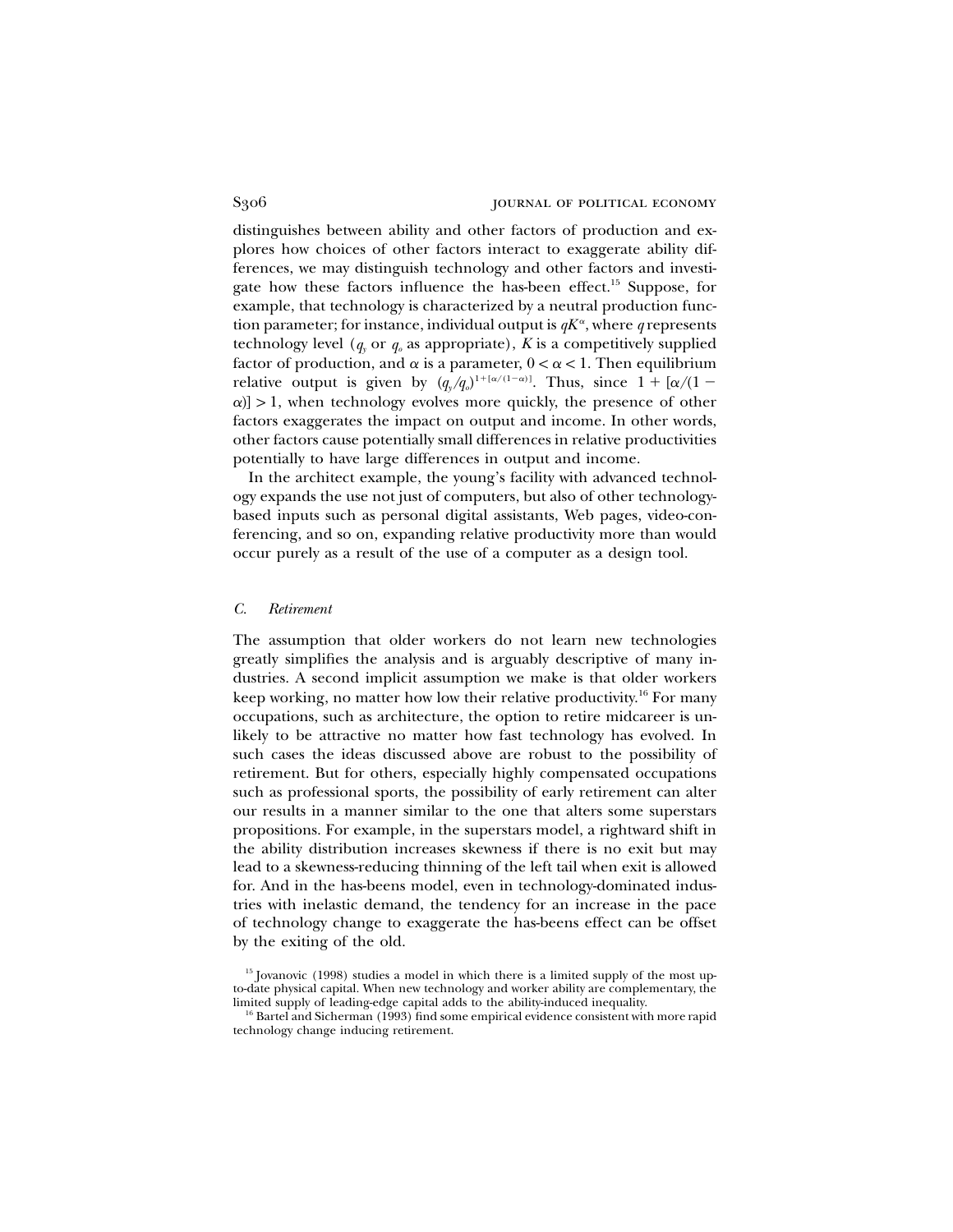distinguishes between ability and other factors of production and explores how choices of other factors interact to exaggerate ability differences, we may distinguish technology and other factors and investigate how these factors influence the has-been effect.<sup>15</sup> Suppose, for example, that technology is characterized by a neutral production function parameter; for instance, individual output is  $qK^{\alpha}$ , where *q* represents technology level ( $q_v$  or  $q_o$  as appropriate), *K* is a competitively supplied factor of production, and  $\alpha$  is a parameter,  $0 < \alpha < 1$ . Then equilibrium relative output is given by  $(q_y/q_0)^{1+(\alpha/(1-\alpha))}$ . Thus, since  $1+[\alpha/(1-\alpha)]$  $|\alpha| > 1$ , when technology evolves more quickly, the presence of other factors exaggerates the impact on output and income. In other words, other factors cause potentially small differences in relative productivities potentially to have large differences in output and income.

In the architect example, the young's facility with advanced technology expands the use not just of computers, but also of other technologybased inputs such as personal digital assistants, Web pages, video-conferencing, and so on, expanding relative productivity more than would occur purely as a result of the use of a computer as a design tool.

### *C. Retirement*

The assumption that older workers do not learn new technologies greatly simplifies the analysis and is arguably descriptive of many industries. A second implicit assumption we make is that older workers keep working, no matter how low their relative productivity.<sup>16</sup> For many occupations, such as architecture, the option to retire midcareer is unlikely to be attractive no matter how fast technology has evolved. In such cases the ideas discussed above are robust to the possibility of retirement. But for others, especially highly compensated occupations such as professional sports, the possibility of early retirement can alter our results in a manner similar to the one that alters some superstars propositions. For example, in the superstars model, a rightward shift in the ability distribution increases skewness if there is no exit but may lead to a skewness-reducing thinning of the left tail when exit is allowed for. And in the has-beens model, even in technology-dominated industries with inelastic demand, the tendency for an increase in the pace of technology change to exaggerate the has-beens effect can be offset by the exiting of the old.

<sup>&</sup>lt;sup>15</sup> Jovanovic (1998) studies a model in which there is a limited supply of the most upto-date physical capital. When new technology and worker ability are complementary, the limited supply of leading-edge capital adds to the ability-induced inequality.

<sup>&</sup>lt;sup>16</sup> Bartel and Sicherman (1993) find some empirical evidence consistent with more rapid technology change inducing retirement.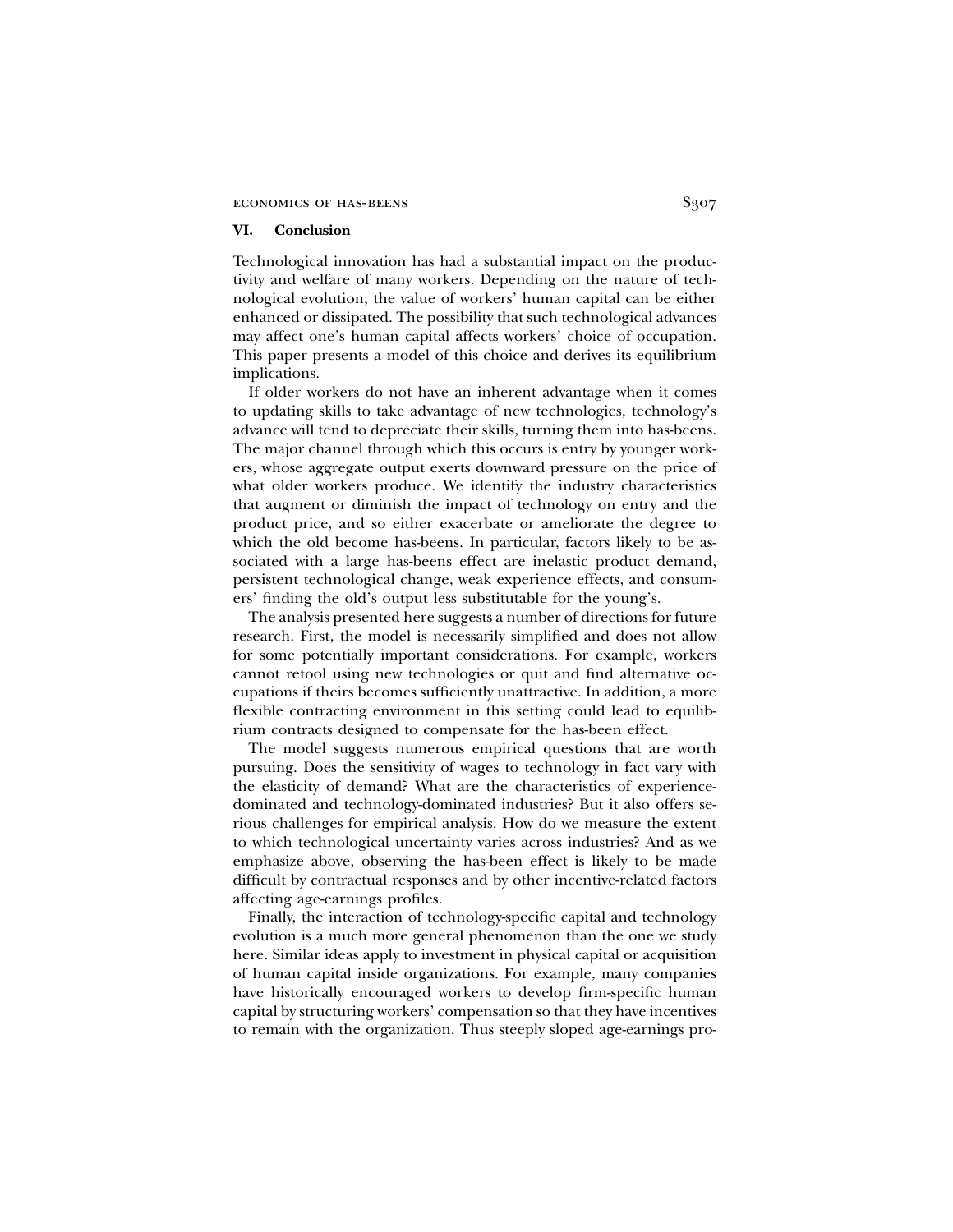#### economics of has-beens S<sub>3</sub>07

# **VI. Conclusion**

Technological innovation has had a substantial impact on the productivity and welfare of many workers. Depending on the nature of technological evolution, the value of workers' human capital can be either enhanced or dissipated. The possibility that such technological advances may affect one's human capital affects workers' choice of occupation. This paper presents a model of this choice and derives its equilibrium implications.

If older workers do not have an inherent advantage when it comes to updating skills to take advantage of new technologies, technology's advance will tend to depreciate their skills, turning them into has-beens. The major channel through which this occurs is entry by younger workers, whose aggregate output exerts downward pressure on the price of what older workers produce. We identify the industry characteristics that augment or diminish the impact of technology on entry and the product price, and so either exacerbate or ameliorate the degree to which the old become has-beens. In particular, factors likely to be associated with a large has-beens effect are inelastic product demand, persistent technological change, weak experience effects, and consumers' finding the old's output less substitutable for the young's.

The analysis presented here suggests a number of directions for future research. First, the model is necessarily simplified and does not allow for some potentially important considerations. For example, workers cannot retool using new technologies or quit and find alternative occupations if theirs becomes sufficiently unattractive. In addition, a more flexible contracting environment in this setting could lead to equilibrium contracts designed to compensate for the has-been effect.

The model suggests numerous empirical questions that are worth pursuing. Does the sensitivity of wages to technology in fact vary with the elasticity of demand? What are the characteristics of experiencedominated and technology-dominated industries? But it also offers serious challenges for empirical analysis. How do we measure the extent to which technological uncertainty varies across industries? And as we emphasize above, observing the has-been effect is likely to be made difficult by contractual responses and by other incentive-related factors affecting age-earnings profiles.

Finally, the interaction of technology-specific capital and technology evolution is a much more general phenomenon than the one we study here. Similar ideas apply to investment in physical capital or acquisition of human capital inside organizations. For example, many companies have historically encouraged workers to develop firm-specific human capital by structuring workers' compensation so that they have incentives to remain with the organization. Thus steeply sloped age-earnings pro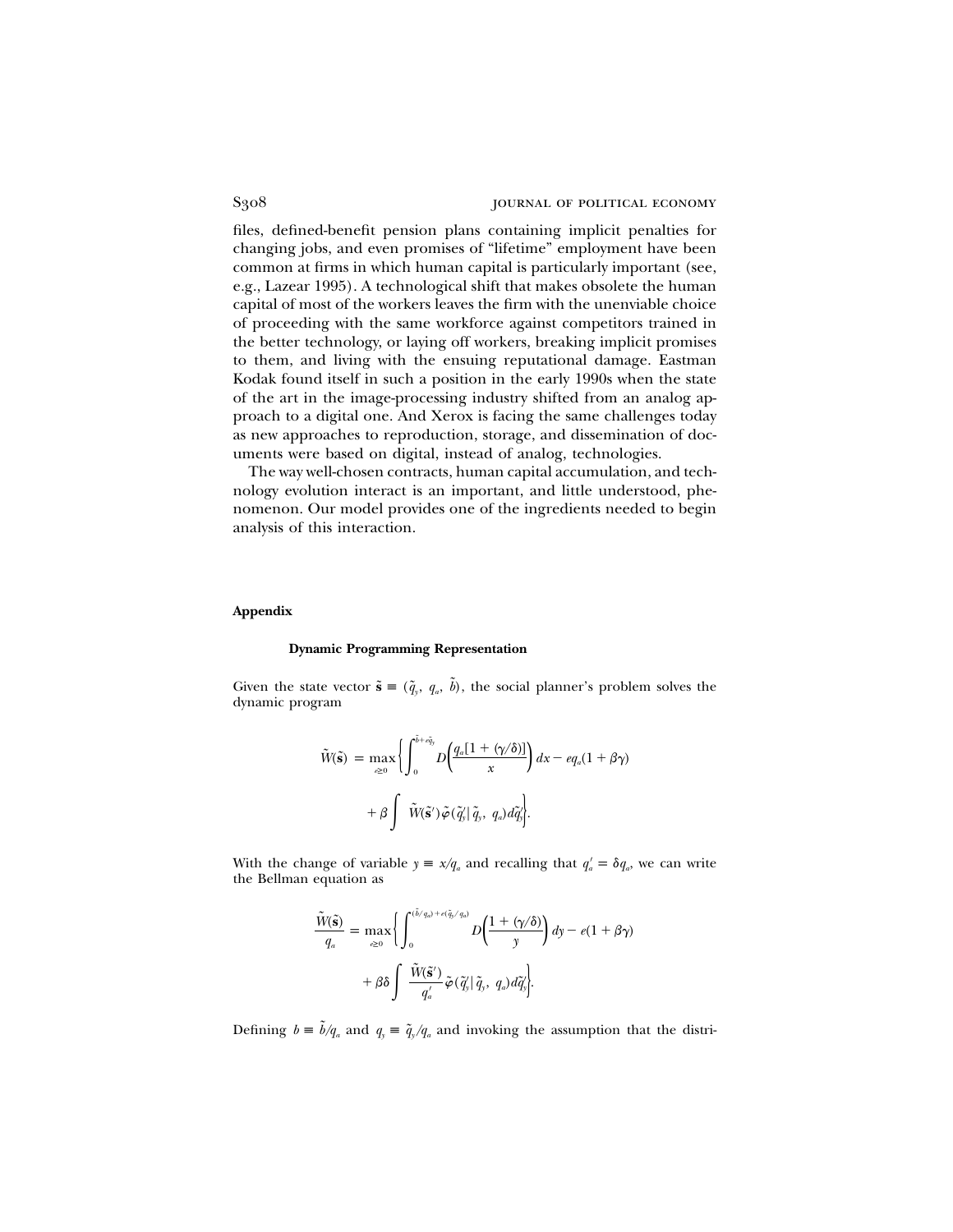files, defined-benefit pension plans containing implicit penalties for changing jobs, and even promises of "lifetime" employment have been common at firms in which human capital is particularly important (see, e.g., Lazear 1995). A technological shift that makes obsolete the human capital of most of the workers leaves the firm with the unenviable choice of proceeding with the same workforce against competitors trained in the better technology, or laying off workers, breaking implicit promises to them, and living with the ensuing reputational damage. Eastman Kodak found itself in such a position in the early 1990s when the state of the art in the image-processing industry shifted from an analog approach to a digital one. And Xerox is facing the same challenges today as new approaches to reproduction, storage, and dissemination of documents were based on digital, instead of analog, technologies.

The way well-chosen contracts, human capital accumulation, and technology evolution interact is an important, and little understood, phenomenon. Our model provides one of the ingredients needed to begin analysis of this interaction.

### **Appendix**

### **Dynamic Programming Representation**

Given the state vector  $\tilde{\mathbf{s}} \equiv (\tilde{q}_y, q_a, \tilde{b})$ , the social planner's problem solves the dynamic program

$$
\tilde{W}(\tilde{\mathbf{s}}) = \max_{\varepsilon \ge 0} \left\{ \int_0^{\tilde{\theta} + \varepsilon \tilde{q}_j} D\left(\frac{q_a [1 + (\gamma/\delta)]}{x}\right) dx - e q_a (1 + \beta \gamma) + \beta \int \tilde{W}(\tilde{\mathbf{s}}') \tilde{\varphi}(\tilde{q}_j' | \tilde{q}_j, q_a) d\tilde{q}_j' \right\}.
$$

With the change of variable  $y \equiv x/q_a$  and recalling that  $q'_a = \delta q_a$ , we can write the Bellman equation as

$$
\frac{\tilde{W}(\tilde{\mathbf{s}})}{q_a} = \max_{e \ge 0} \left\{ \int_0^{(\tilde{b}/q_a) + e(\tilde{q}_y/q_a)} D\left(\frac{1 + (\gamma/\delta)}{y}\right) dy - e(1 + \beta \gamma) + \beta \delta \int \frac{\tilde{W}(\tilde{\mathbf{s}}')}{q'_a} \tilde{\varphi}(\tilde{q}'_y | \tilde{q}_y, q_a) d\tilde{q}'_y \right\}.
$$

Defining  $b \equiv \tilde{b}/q_a$  and  $q_y \equiv \tilde{q}_y/q_a$  and invoking the assumption that the distri-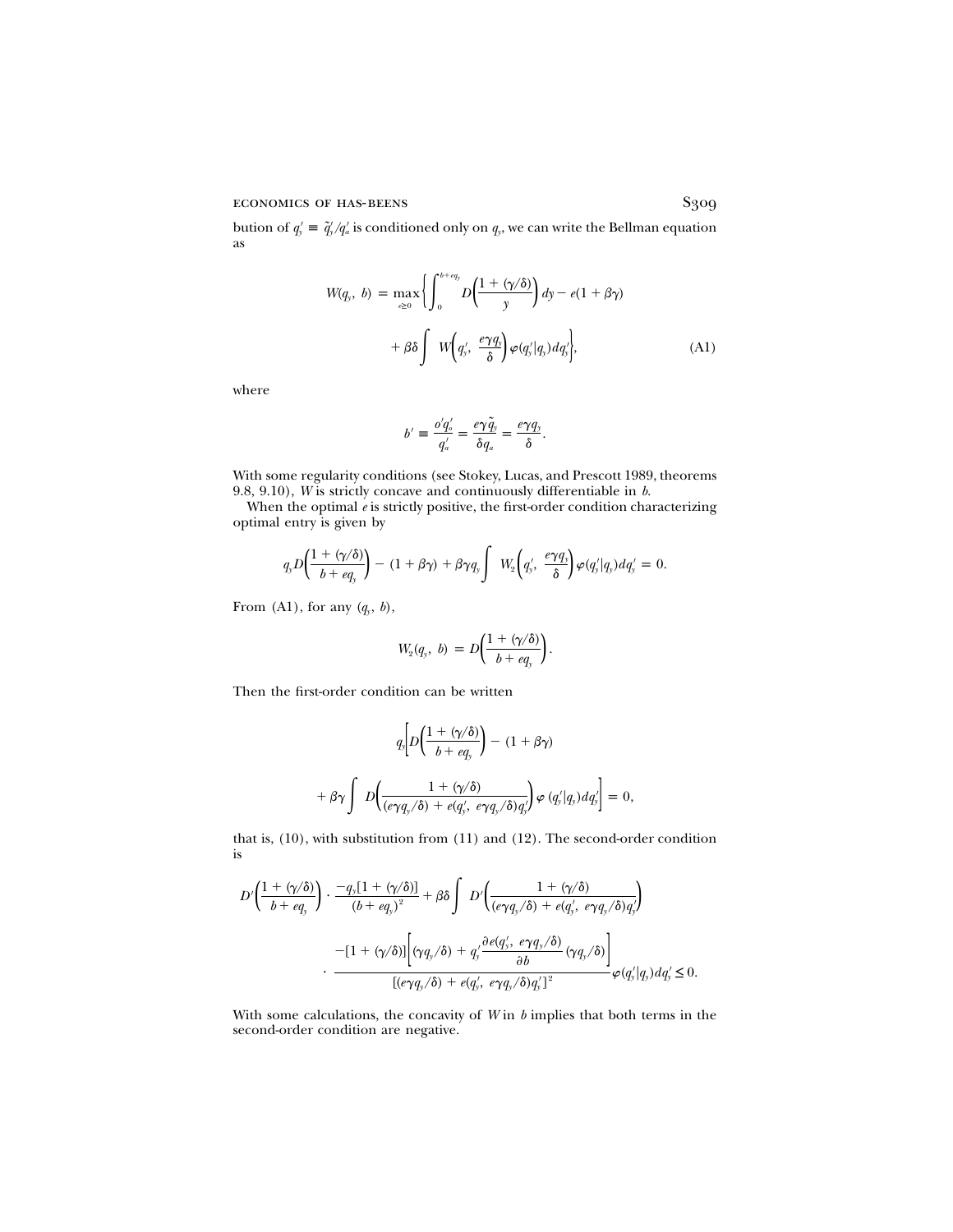# economics of has-beens S309

bution of  $q'_y \equiv \tilde{q}'_y / q'_a$  is conditioned only on  $q_y$ , we can write the Bellman equation as

$$
W(q_j, b) = \max_{\varepsilon \ge 0} \left\{ \int_0^{b + \varepsilon q_j} D\left(\frac{1 + (\gamma/\delta)}{y}\right) dy - e(1 + \beta \gamma) + \beta \delta \int W\left(q'_j, \frac{\varepsilon \gamma q_j}{\delta}\right) \varphi(q'_j | q_j) dq'_j \right\},\tag{A1}
$$

where

$$
b' \equiv \frac{o' q'_o}{q'_a} = \frac{e \gamma \tilde{q}_y}{\delta q_a} = \frac{e \gamma q_y}{\delta}.
$$

With some regularity conditions (see Stokey, Lucas, and Prescott 1989, theorems 9.8, 9.10), *W* is strictly concave and continuously differentiable in *b*.

When the optimal *e* is strictly positive, the first-order condition characterizing optimal entry is given by

$$
q_{y}D\left(\frac{1+(\gamma/\delta)}{b+eq_{y}}\right)-(1+\beta\gamma)+\beta\gamma q_{y}\int W_{2}\left(q_{y}', \frac{e\gamma q_{y}}{\delta}\right)\varphi(q_{y}'|q_{y})dq_{y}'=0.
$$

From  $(A1)$ , for any  $(q_y, b)$ ,

$$
W_2(q_y, b) = D\left(\frac{1 + (\gamma/\delta)}{b + eq_y}\right).
$$

Then the first-order condition can be written

$$
q_{y}\left[D\left(\frac{1+(\gamma/\delta)}{b+eq_{y}}\right)-(1+\beta\gamma)\right]
$$

$$
+\beta\gamma\int D\left(\frac{1+(\gamma/\delta)}{(eq\gamma q_{y}/\delta)+e(q_{y}',eq\gamma q_{y}/\delta)q_{y}'}\right)\varphi(q_{y}'|q_{y})dq_{y}'\right]=0,
$$

that is, (10), with substitution from (11) and (12). The second-order condition is

$$
D'\left(\frac{1+(\gamma/\delta)}{b+eq_y}\right) \cdot \frac{-q_y[1+(\gamma/\delta)]}{(b+eq_y)^2} + \beta\delta \int D'\left(\frac{1+(\gamma/\delta)}{(e\gamma q_y/\delta) + e(q_y', e\gamma q_y/\delta)q_y'}\right)
$$

$$
\cdot \frac{-[1+(\gamma/\delta)][(\gamma q_y/\delta) + q_y'\frac{\partial e(q_y', e\gamma q_y/\delta)}{\partial b}(\gamma q_y/\delta)]}{[(e\gamma q_y/\delta) + e(q_y', e\gamma q_y/\delta)q_y']^2}\varphi(q_y'|q_y) dq_y' \leq 0.
$$

With some calculations, the concavity of *W* in *b* implies that both terms in the second-order condition are negative.